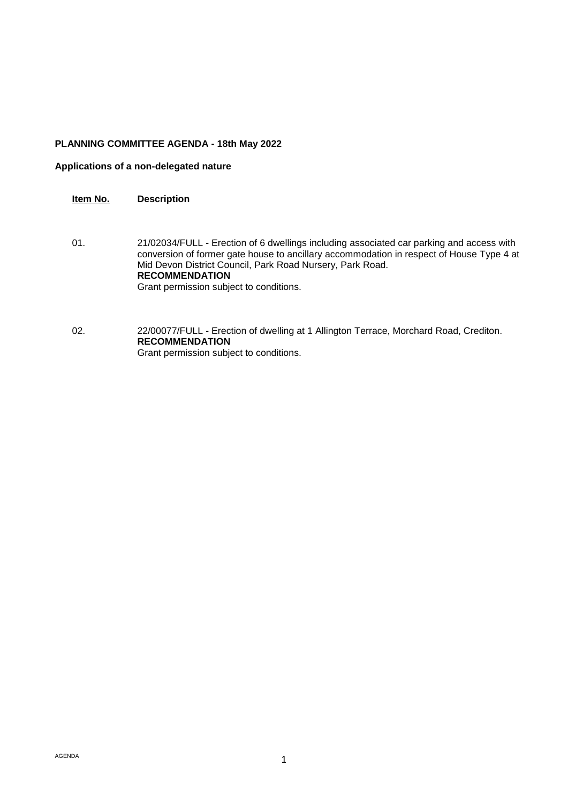#### **PLANNING COMMITTEE AGENDA - 18th May 2022**

#### **Applications of a non-delegated nature**

#### **Item No. Description**

- 01. 21/02034/FULL Erection of 6 dwellings including associated car parking and access with conversion of former gate house to ancillary accommodation in respect of House Type 4 at Mid Devon District Council, Park Road Nursery, Park Road. **RECOMMENDATION** Grant permission subject to conditions.
- 02. 22/00077/FULL Erection of dwelling at 1 Allington Terrace, Morchard Road, Crediton. **RECOMMENDATION** Grant permission subject to conditions.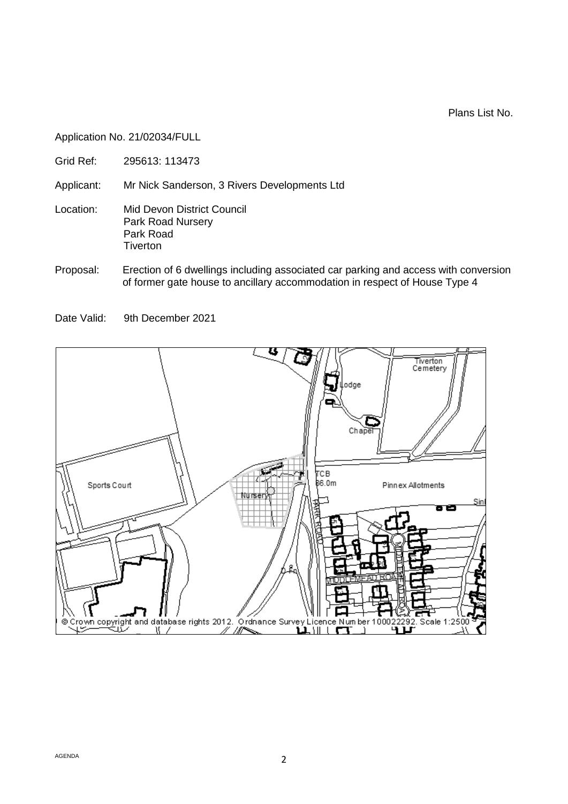Plans List No.

Application No. 21/02034/FULL

Grid Ref: 295613: 113473

Applicant: Mr Nick Sanderson, 3 Rivers Developments Ltd

- Location: Mid Devon District Council Park Road Nursery Park Road **Tiverton**
- Proposal: Erection of 6 dwellings including associated car parking and access with conversion of former gate house to ancillary accommodation in respect of House Type 4

Date Valid: 9th December 2021

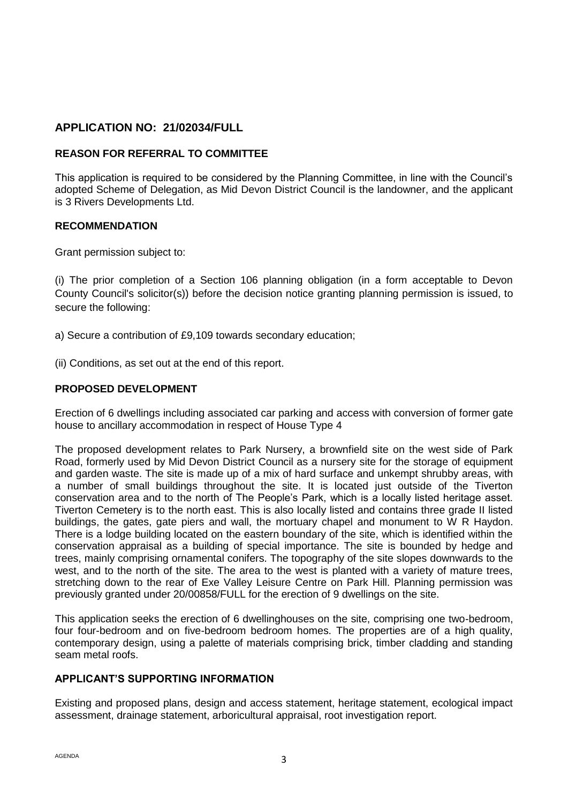# **APPLICATION NO: 21/02034/FULL**

# **REASON FOR REFERRAL TO COMMITTEE**

This application is required to be considered by the Planning Committee, in line with the Council's adopted Scheme of Delegation, as Mid Devon District Council is the landowner, and the applicant is 3 Rivers Developments Ltd.

## **RECOMMENDATION**

Grant permission subject to:

(i) The prior completion of a Section 106 planning obligation (in a form acceptable to Devon County Council's solicitor(s)) before the decision notice granting planning permission is issued, to secure the following:

- a) Secure a contribution of £9,109 towards secondary education;
- (ii) Conditions, as set out at the end of this report.

# **PROPOSED DEVELOPMENT**

Erection of 6 dwellings including associated car parking and access with conversion of former gate house to ancillary accommodation in respect of House Type 4

The proposed development relates to Park Nursery, a brownfield site on the west side of Park Road, formerly used by Mid Devon District Council as a nursery site for the storage of equipment and garden waste. The site is made up of a mix of hard surface and unkempt shrubby areas, with a number of small buildings throughout the site. It is located just outside of the Tiverton conservation area and to the north of The People's Park, which is a locally listed heritage asset. Tiverton Cemetery is to the north east. This is also locally listed and contains three grade II listed buildings, the gates, gate piers and wall, the mortuary chapel and monument to W R Haydon. There is a lodge building located on the eastern boundary of the site, which is identified within the conservation appraisal as a building of special importance. The site is bounded by hedge and trees, mainly comprising ornamental conifers. The topography of the site slopes downwards to the west, and to the north of the site. The area to the west is planted with a variety of mature trees, stretching down to the rear of Exe Valley Leisure Centre on Park Hill. Planning permission was previously granted under 20/00858/FULL for the erection of 9 dwellings on the site.

This application seeks the erection of 6 dwellinghouses on the site, comprising one two-bedroom, four four-bedroom and on five-bedroom bedroom homes. The properties are of a high quality, contemporary design, using a palette of materials comprising brick, timber cladding and standing seam metal roofs.

## **APPLICANT'S SUPPORTING INFORMATION**

Existing and proposed plans, design and access statement, heritage statement, ecological impact assessment, drainage statement, arboricultural appraisal, root investigation report.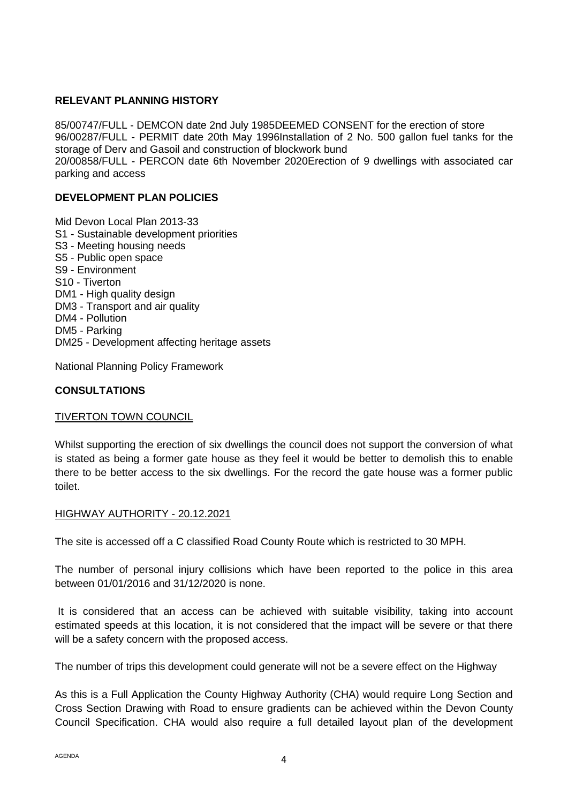# **RELEVANT PLANNING HISTORY**

85/00747/FULL - DEMCON date 2nd July 1985DEEMED CONSENT for the erection of store 96/00287/FULL - PERMIT date 20th May 1996Installation of 2 No. 500 gallon fuel tanks for the storage of Derv and Gasoil and construction of blockwork bund 20/00858/FULL - PERCON date 6th November 2020Erection of 9 dwellings with associated car parking and access

## **DEVELOPMENT PLAN POLICIES**

Mid Devon Local Plan 2013-33 S1 - Sustainable development priorities S3 - Meeting housing needs S5 - Public open space S9 - Environment S10 - Tiverton DM1 - High quality design DM3 - Transport and air quality DM4 - Pollution DM5 - Parking DM25 - Development affecting heritage assets

National Planning Policy Framework

# **CONSULTATIONS**

## TIVERTON TOWN COUNCIL

Whilst supporting the erection of six dwellings the council does not support the conversion of what is stated as being a former gate house as they feel it would be better to demolish this to enable there to be better access to the six dwellings. For the record the gate house was a former public toilet.

#### HIGHWAY AUTHORITY - 20.12.2021

The site is accessed off a C classified Road County Route which is restricted to 30 MPH.

The number of personal injury collisions which have been reported to the police in this area between 01/01/2016 and 31/12/2020 is none.

It is considered that an access can be achieved with suitable visibility, taking into account estimated speeds at this location, it is not considered that the impact will be severe or that there will be a safety concern with the proposed access.

The number of trips this development could generate will not be a severe effect on the Highway

As this is a Full Application the County Highway Authority (CHA) would require Long Section and Cross Section Drawing with Road to ensure gradients can be achieved within the Devon County Council Specification. CHA would also require a full detailed layout plan of the development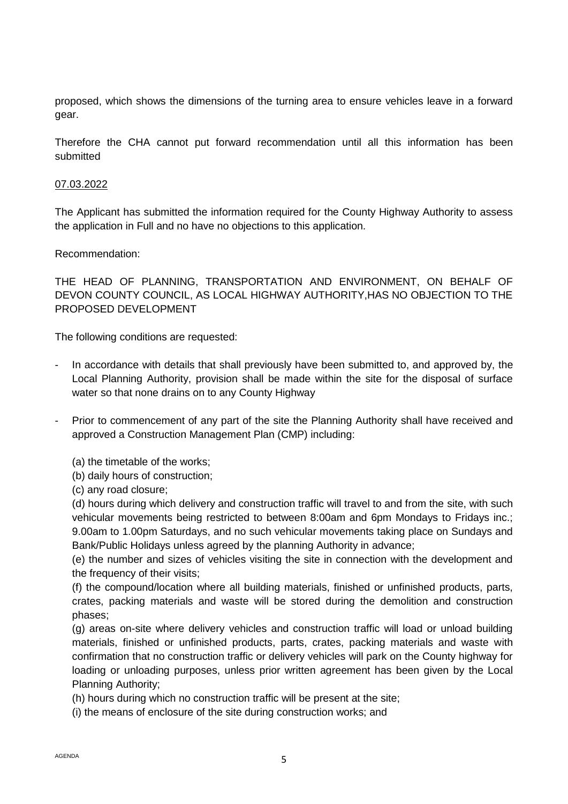proposed, which shows the dimensions of the turning area to ensure vehicles leave in a forward gear.

Therefore the CHA cannot put forward recommendation until all this information has been submitted

## 07.03.2022

The Applicant has submitted the information required for the County Highway Authority to assess the application in Full and no have no objections to this application.

## Recommendation:

THE HEAD OF PLANNING, TRANSPORTATION AND ENVIRONMENT, ON BEHALF OF DEVON COUNTY COUNCIL, AS LOCAL HIGHWAY AUTHORITY,HAS NO OBJECTION TO THE PROPOSED DEVELOPMENT

The following conditions are requested:

- In accordance with details that shall previously have been submitted to, and approved by, the Local Planning Authority, provision shall be made within the site for the disposal of surface water so that none drains on to any County Highway
- Prior to commencement of any part of the site the Planning Authority shall have received and approved a Construction Management Plan (CMP) including:
	- (a) the timetable of the works;
	- (b) daily hours of construction;
	- (c) any road closure;

(d) hours during which delivery and construction traffic will travel to and from the site, with such vehicular movements being restricted to between 8:00am and 6pm Mondays to Fridays inc.; 9.00am to 1.00pm Saturdays, and no such vehicular movements taking place on Sundays and Bank/Public Holidays unless agreed by the planning Authority in advance;

(e) the number and sizes of vehicles visiting the site in connection with the development and the frequency of their visits;

(f) the compound/location where all building materials, finished or unfinished products, parts, crates, packing materials and waste will be stored during the demolition and construction phases;

(g) areas on-site where delivery vehicles and construction traffic will load or unload building materials, finished or unfinished products, parts, crates, packing materials and waste with confirmation that no construction traffic or delivery vehicles will park on the County highway for loading or unloading purposes, unless prior written agreement has been given by the Local Planning Authority;

(h) hours during which no construction traffic will be present at the site;

(i) the means of enclosure of the site during construction works; and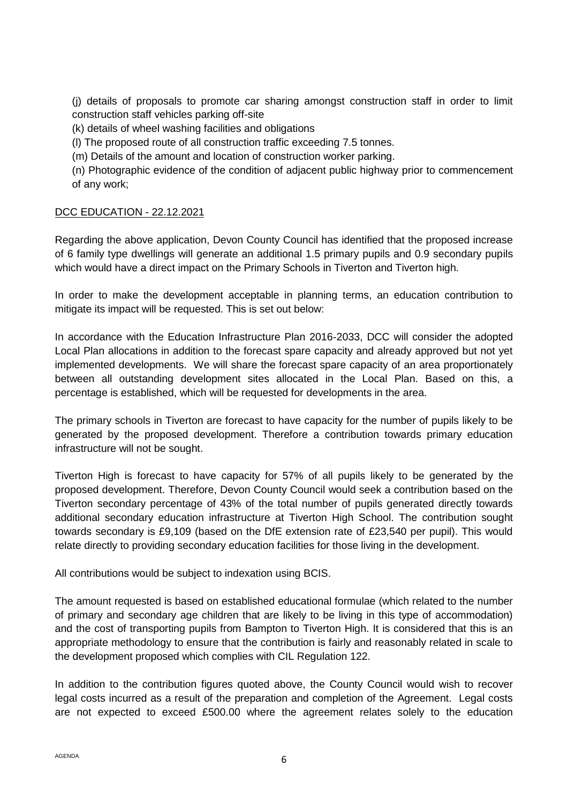(j) details of proposals to promote car sharing amongst construction staff in order to limit construction staff vehicles parking off-site

(k) details of wheel washing facilities and obligations

(l) The proposed route of all construction traffic exceeding 7.5 tonnes.

(m) Details of the amount and location of construction worker parking.

(n) Photographic evidence of the condition of adjacent public highway prior to commencement of any work;

# DCC EDUCATION - 22.12.2021

Regarding the above application, Devon County Council has identified that the proposed increase of 6 family type dwellings will generate an additional 1.5 primary pupils and 0.9 secondary pupils which would have a direct impact on the Primary Schools in Tiverton and Tiverton high.

In order to make the development acceptable in planning terms, an education contribution to mitigate its impact will be requested. This is set out below:

In accordance with the Education Infrastructure Plan 2016-2033, DCC will consider the adopted Local Plan allocations in addition to the forecast spare capacity and already approved but not yet implemented developments. We will share the forecast spare capacity of an area proportionately between all outstanding development sites allocated in the Local Plan. Based on this, a percentage is established, which will be requested for developments in the area.

The primary schools in Tiverton are forecast to have capacity for the number of pupils likely to be generated by the proposed development. Therefore a contribution towards primary education infrastructure will not be sought.

Tiverton High is forecast to have capacity for 57% of all pupils likely to be generated by the proposed development. Therefore, Devon County Council would seek a contribution based on the Tiverton secondary percentage of 43% of the total number of pupils generated directly towards additional secondary education infrastructure at Tiverton High School. The contribution sought towards secondary is £9,109 (based on the DfE extension rate of £23,540 per pupil). This would relate directly to providing secondary education facilities for those living in the development.

All contributions would be subject to indexation using BCIS.

The amount requested is based on established educational formulae (which related to the number of primary and secondary age children that are likely to be living in this type of accommodation) and the cost of transporting pupils from Bampton to Tiverton High. It is considered that this is an appropriate methodology to ensure that the contribution is fairly and reasonably related in scale to the development proposed which complies with CIL Regulation 122.

In addition to the contribution figures quoted above, the County Council would wish to recover legal costs incurred as a result of the preparation and completion of the Agreement. Legal costs are not expected to exceed £500.00 where the agreement relates solely to the education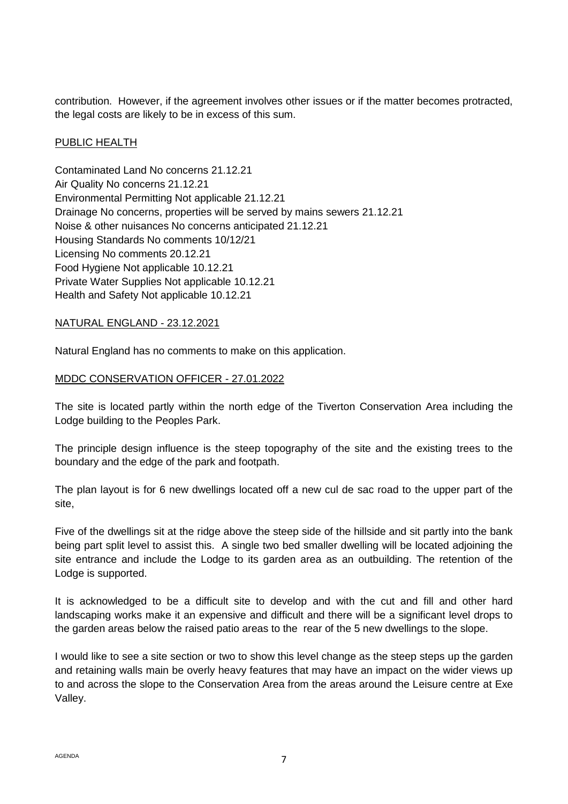contribution. However, if the agreement involves other issues or if the matter becomes protracted, the legal costs are likely to be in excess of this sum.

## PUBLIC HEALTH

Contaminated Land No concerns 21.12.21 Air Quality No concerns 21.12.21 Environmental Permitting Not applicable 21.12.21 Drainage No concerns, properties will be served by mains sewers 21.12.21 Noise & other nuisances No concerns anticipated 21.12.21 Housing Standards No comments 10/12/21 Licensing No comments 20.12.21 Food Hygiene Not applicable 10.12.21 Private Water Supplies Not applicable 10.12.21 Health and Safety Not applicable 10.12.21

## NATURAL ENGLAND - 23.12.2021

Natural England has no comments to make on this application.

# MDDC CONSERVATION OFFICER - 27.01.2022

The site is located partly within the north edge of the Tiverton Conservation Area including the Lodge building to the Peoples Park.

The principle design influence is the steep topography of the site and the existing trees to the boundary and the edge of the park and footpath.

The plan layout is for 6 new dwellings located off a new cul de sac road to the upper part of the site,

Five of the dwellings sit at the ridge above the steep side of the hillside and sit partly into the bank being part split level to assist this. A single two bed smaller dwelling will be located adjoining the site entrance and include the Lodge to its garden area as an outbuilding. The retention of the Lodge is supported.

It is acknowledged to be a difficult site to develop and with the cut and fill and other hard landscaping works make it an expensive and difficult and there will be a significant level drops to the garden areas below the raised patio areas to the rear of the 5 new dwellings to the slope.

I would like to see a site section or two to show this level change as the steep steps up the garden and retaining walls main be overly heavy features that may have an impact on the wider views up to and across the slope to the Conservation Area from the areas around the Leisure centre at Exe Valley.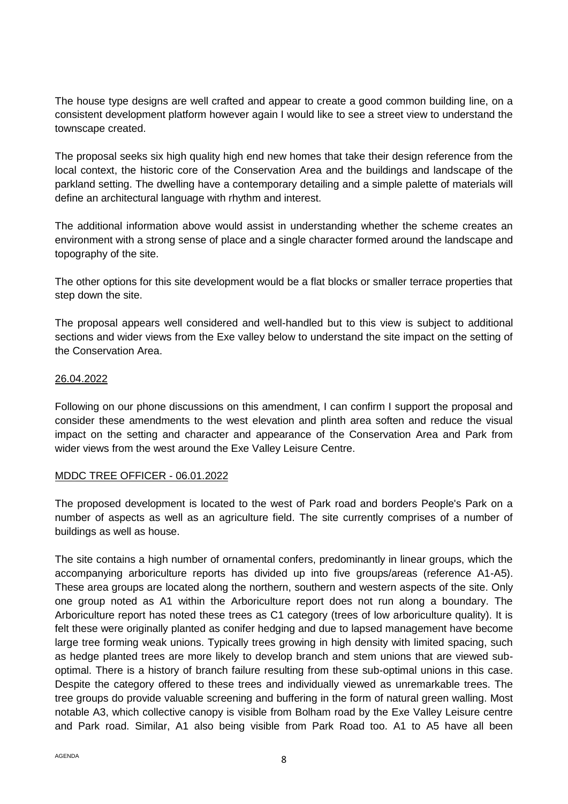The house type designs are well crafted and appear to create a good common building line, on a consistent development platform however again I would like to see a street view to understand the townscape created.

The proposal seeks six high quality high end new homes that take their design reference from the local context, the historic core of the Conservation Area and the buildings and landscape of the parkland setting. The dwelling have a contemporary detailing and a simple palette of materials will define an architectural language with rhythm and interest.

The additional information above would assist in understanding whether the scheme creates an environment with a strong sense of place and a single character formed around the landscape and topography of the site.

The other options for this site development would be a flat blocks or smaller terrace properties that step down the site.

The proposal appears well considered and well-handled but to this view is subject to additional sections and wider views from the Exe valley below to understand the site impact on the setting of the Conservation Area.

## 26.04.2022

Following on our phone discussions on this amendment, I can confirm I support the proposal and consider these amendments to the west elevation and plinth area soften and reduce the visual impact on the setting and character and appearance of the Conservation Area and Park from wider views from the west around the Exe Valley Leisure Centre.

## MDDC TREE OFFICER - 06.01.2022

The proposed development is located to the west of Park road and borders People's Park on a number of aspects as well as an agriculture field. The site currently comprises of a number of buildings as well as house.

The site contains a high number of ornamental confers, predominantly in linear groups, which the accompanying arboriculture reports has divided up into five groups/areas (reference A1-A5). These area groups are located along the northern, southern and western aspects of the site. Only one group noted as A1 within the Arboriculture report does not run along a boundary. The Arboriculture report has noted these trees as C1 category (trees of low arboriculture quality). It is felt these were originally planted as conifer hedging and due to lapsed management have become large tree forming weak unions. Typically trees growing in high density with limited spacing, such as hedge planted trees are more likely to develop branch and stem unions that are viewed suboptimal. There is a history of branch failure resulting from these sub-optimal unions in this case. Despite the category offered to these trees and individually viewed as unremarkable trees. The tree groups do provide valuable screening and buffering in the form of natural green walling. Most notable A3, which collective canopy is visible from Bolham road by the Exe Valley Leisure centre and Park road. Similar, A1 also being visible from Park Road too. A1 to A5 have all been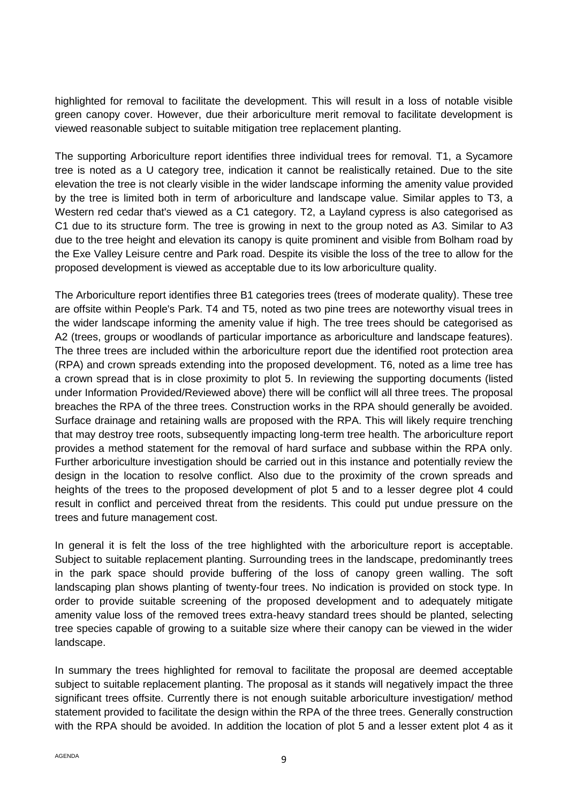highlighted for removal to facilitate the development. This will result in a loss of notable visible green canopy cover. However, due their arboriculture merit removal to facilitate development is viewed reasonable subject to suitable mitigation tree replacement planting.

The supporting Arboriculture report identifies three individual trees for removal. T1, a Sycamore tree is noted as a U category tree, indication it cannot be realistically retained. Due to the site elevation the tree is not clearly visible in the wider landscape informing the amenity value provided by the tree is limited both in term of arboriculture and landscape value. Similar apples to T3, a Western red cedar that's viewed as a C1 category. T2, a Layland cypress is also categorised as C1 due to its structure form. The tree is growing in next to the group noted as A3. Similar to A3 due to the tree height and elevation its canopy is quite prominent and visible from Bolham road by the Exe Valley Leisure centre and Park road. Despite its visible the loss of the tree to allow for the proposed development is viewed as acceptable due to its low arboriculture quality.

The Arboriculture report identifies three B1 categories trees (trees of moderate quality). These tree are offsite within People's Park. T4 and T5, noted as two pine trees are noteworthy visual trees in the wider landscape informing the amenity value if high. The tree trees should be categorised as A2 (trees, groups or woodlands of particular importance as arboriculture and landscape features). The three trees are included within the arboriculture report due the identified root protection area (RPA) and crown spreads extending into the proposed development. T6, noted as a lime tree has a crown spread that is in close proximity to plot 5. In reviewing the supporting documents (listed under Information Provided/Reviewed above) there will be conflict will all three trees. The proposal breaches the RPA of the three trees. Construction works in the RPA should generally be avoided. Surface drainage and retaining walls are proposed with the RPA. This will likely require trenching that may destroy tree roots, subsequently impacting long-term tree health. The arboriculture report provides a method statement for the removal of hard surface and subbase within the RPA only. Further arboriculture investigation should be carried out in this instance and potentially review the design in the location to resolve conflict. Also due to the proximity of the crown spreads and heights of the trees to the proposed development of plot 5 and to a lesser degree plot 4 could result in conflict and perceived threat from the residents. This could put undue pressure on the trees and future management cost.

In general it is felt the loss of the tree highlighted with the arboriculture report is acceptable. Subject to suitable replacement planting. Surrounding trees in the landscape, predominantly trees in the park space should provide buffering of the loss of canopy green walling. The soft landscaping plan shows planting of twenty-four trees. No indication is provided on stock type. In order to provide suitable screening of the proposed development and to adequately mitigate amenity value loss of the removed trees extra-heavy standard trees should be planted, selecting tree species capable of growing to a suitable size where their canopy can be viewed in the wider landscape.

In summary the trees highlighted for removal to facilitate the proposal are deemed acceptable subject to suitable replacement planting. The proposal as it stands will negatively impact the three significant trees offsite. Currently there is not enough suitable arboriculture investigation/ method statement provided to facilitate the design within the RPA of the three trees. Generally construction with the RPA should be avoided. In addition the location of plot 5 and a lesser extent plot 4 as it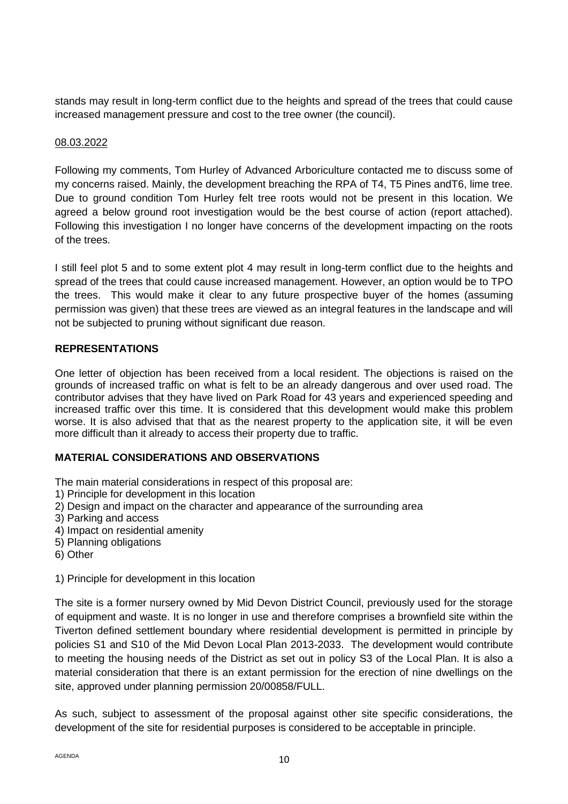stands may result in long-term conflict due to the heights and spread of the trees that could cause increased management pressure and cost to the tree owner (the council).

## 08.03.2022

Following my comments, Tom Hurley of Advanced Arboriculture contacted me to discuss some of my concerns raised. Mainly, the development breaching the RPA of T4, T5 Pines andT6, lime tree. Due to ground condition Tom Hurley felt tree roots would not be present in this location. We agreed a below ground root investigation would be the best course of action (report attached). Following this investigation I no longer have concerns of the development impacting on the roots of the trees.

I still feel plot 5 and to some extent plot 4 may result in long-term conflict due to the heights and spread of the trees that could cause increased management. However, an option would be to TPO the trees. This would make it clear to any future prospective buyer of the homes (assuming permission was given) that these trees are viewed as an integral features in the landscape and will not be subjected to pruning without significant due reason.

# **REPRESENTATIONS**

One letter of objection has been received from a local resident. The objections is raised on the grounds of increased traffic on what is felt to be an already dangerous and over used road. The contributor advises that they have lived on Park Road for 43 years and experienced speeding and increased traffic over this time. It is considered that this development would make this problem worse. It is also advised that that as the nearest property to the application site, it will be even more difficult than it already to access their property due to traffic.

# **MATERIAL CONSIDERATIONS AND OBSERVATIONS**

- The main material considerations in respect of this proposal are:
- 1) Principle for development in this location
- 2) Design and impact on the character and appearance of the surrounding area
- 3) Parking and access
- 4) Impact on residential amenity
- 5) Planning obligations
- 6) Other
- 1) Principle for development in this location

The site is a former nursery owned by Mid Devon District Council, previously used for the storage of equipment and waste. It is no longer in use and therefore comprises a brownfield site within the Tiverton defined settlement boundary where residential development is permitted in principle by policies S1 and S10 of the Mid Devon Local Plan 2013-2033. The development would contribute to meeting the housing needs of the District as set out in policy S3 of the Local Plan. It is also a material consideration that there is an extant permission for the erection of nine dwellings on the site, approved under planning permission 20/00858/FULL.

As such, subject to assessment of the proposal against other site specific considerations, the development of the site for residential purposes is considered to be acceptable in principle.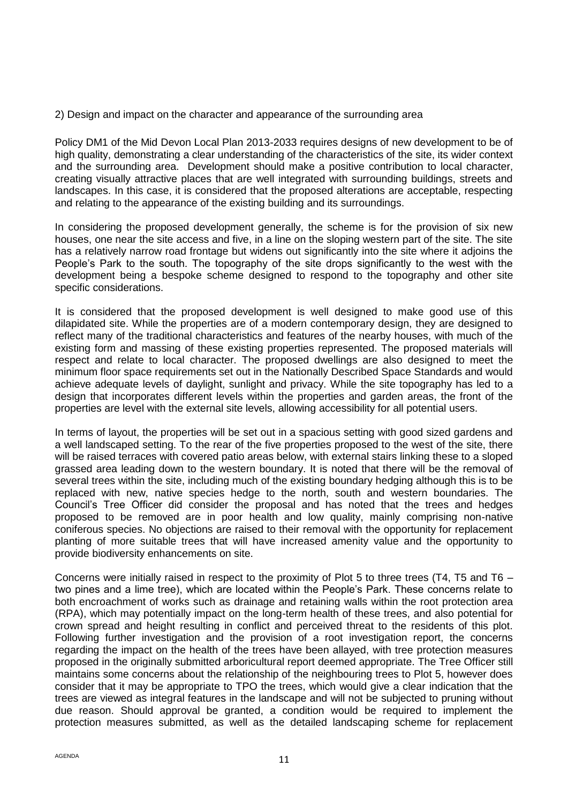#### 2) Design and impact on the character and appearance of the surrounding area

Policy DM1 of the Mid Devon Local Plan 2013-2033 requires designs of new development to be of high quality, demonstrating a clear understanding of the characteristics of the site, its wider context and the surrounding area. Development should make a positive contribution to local character, creating visually attractive places that are well integrated with surrounding buildings, streets and landscapes. In this case, it is considered that the proposed alterations are acceptable, respecting and relating to the appearance of the existing building and its surroundings.

In considering the proposed development generally, the scheme is for the provision of six new houses, one near the site access and five, in a line on the sloping western part of the site. The site has a relatively narrow road frontage but widens out significantly into the site where it adjoins the People's Park to the south. The topography of the site drops significantly to the west with the development being a bespoke scheme designed to respond to the topography and other site specific considerations.

It is considered that the proposed development is well designed to make good use of this dilapidated site. While the properties are of a modern contemporary design, they are designed to reflect many of the traditional characteristics and features of the nearby houses, with much of the existing form and massing of these existing properties represented. The proposed materials will respect and relate to local character. The proposed dwellings are also designed to meet the minimum floor space requirements set out in the Nationally Described Space Standards and would achieve adequate levels of daylight, sunlight and privacy. While the site topography has led to a design that incorporates different levels within the properties and garden areas, the front of the properties are level with the external site levels, allowing accessibility for all potential users.

In terms of layout, the properties will be set out in a spacious setting with good sized gardens and a well landscaped setting. To the rear of the five properties proposed to the west of the site, there will be raised terraces with covered patio areas below, with external stairs linking these to a sloped grassed area leading down to the western boundary. It is noted that there will be the removal of several trees within the site, including much of the existing boundary hedging although this is to be replaced with new, native species hedge to the north, south and western boundaries. The Council's Tree Officer did consider the proposal and has noted that the trees and hedges proposed to be removed are in poor health and low quality, mainly comprising non-native coniferous species. No objections are raised to their removal with the opportunity for replacement planting of more suitable trees that will have increased amenity value and the opportunity to provide biodiversity enhancements on site.

Concerns were initially raised in respect to the proximity of Plot 5 to three trees (T4, T5 and T6 – two pines and a lime tree), which are located within the People's Park. These concerns relate to both encroachment of works such as drainage and retaining walls within the root protection area (RPA), which may potentially impact on the long-term health of these trees, and also potential for crown spread and height resulting in conflict and perceived threat to the residents of this plot. Following further investigation and the provision of a root investigation report, the concerns regarding the impact on the health of the trees have been allayed, with tree protection measures proposed in the originally submitted arboricultural report deemed appropriate. The Tree Officer still maintains some concerns about the relationship of the neighbouring trees to Plot 5, however does consider that it may be appropriate to TPO the trees, which would give a clear indication that the trees are viewed as integral features in the landscape and will not be subjected to pruning without due reason. Should approval be granted, a condition would be required to implement the protection measures submitted, as well as the detailed landscaping scheme for replacement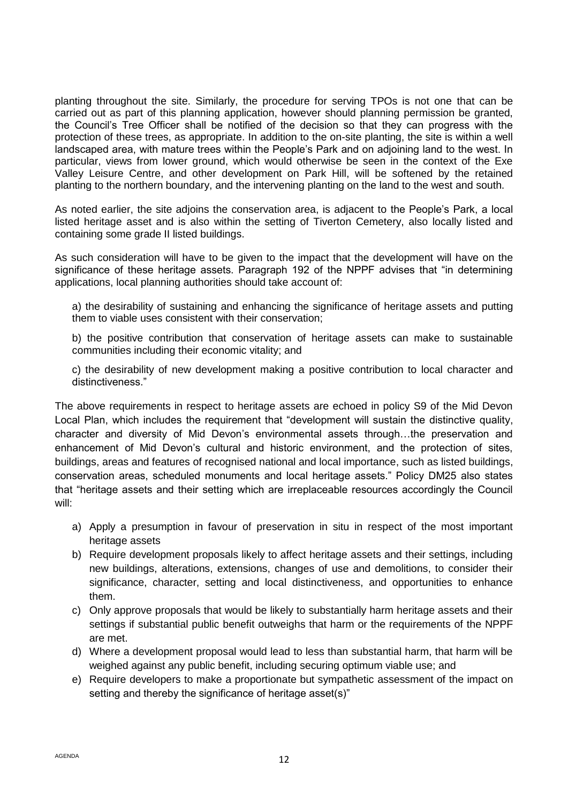planting throughout the site. Similarly, the procedure for serving TPOs is not one that can be carried out as part of this planning application, however should planning permission be granted, the Council's Tree Officer shall be notified of the decision so that they can progress with the protection of these trees, as appropriate. In addition to the on-site planting, the site is within a well landscaped area, with mature trees within the People's Park and on adjoining land to the west. In particular, views from lower ground, which would otherwise be seen in the context of the Exe Valley Leisure Centre, and other development on Park Hill, will be softened by the retained planting to the northern boundary, and the intervening planting on the land to the west and south.

As noted earlier, the site adjoins the conservation area, is adjacent to the People's Park, a local listed heritage asset and is also within the setting of Tiverton Cemetery, also locally listed and containing some grade II listed buildings.

As such consideration will have to be given to the impact that the development will have on the significance of these heritage assets. Paragraph 192 of the NPPF advises that "in determining applications, local planning authorities should take account of:

a) the desirability of sustaining and enhancing the significance of heritage assets and putting them to viable uses consistent with their conservation;

b) the positive contribution that conservation of heritage assets can make to sustainable communities including their economic vitality; and

c) the desirability of new development making a positive contribution to local character and distinctiveness."

The above requirements in respect to heritage assets are echoed in policy S9 of the Mid Devon Local Plan, which includes the requirement that "development will sustain the distinctive quality, character and diversity of Mid Devon's environmental assets through…the preservation and enhancement of Mid Devon's cultural and historic environment, and the protection of sites, buildings, areas and features of recognised national and local importance, such as listed buildings, conservation areas, scheduled monuments and local heritage assets." Policy DM25 also states that "heritage assets and their setting which are irreplaceable resources accordingly the Council will:

- a) Apply a presumption in favour of preservation in situ in respect of the most important heritage assets
- b) Require development proposals likely to affect heritage assets and their settings, including new buildings, alterations, extensions, changes of use and demolitions, to consider their significance, character, setting and local distinctiveness, and opportunities to enhance them.
- c) Only approve proposals that would be likely to substantially harm heritage assets and their settings if substantial public benefit outweighs that harm or the requirements of the NPPF are met.
- d) Where a development proposal would lead to less than substantial harm, that harm will be weighed against any public benefit, including securing optimum viable use; and
- e) Require developers to make a proportionate but sympathetic assessment of the impact on setting and thereby the significance of heritage asset(s)"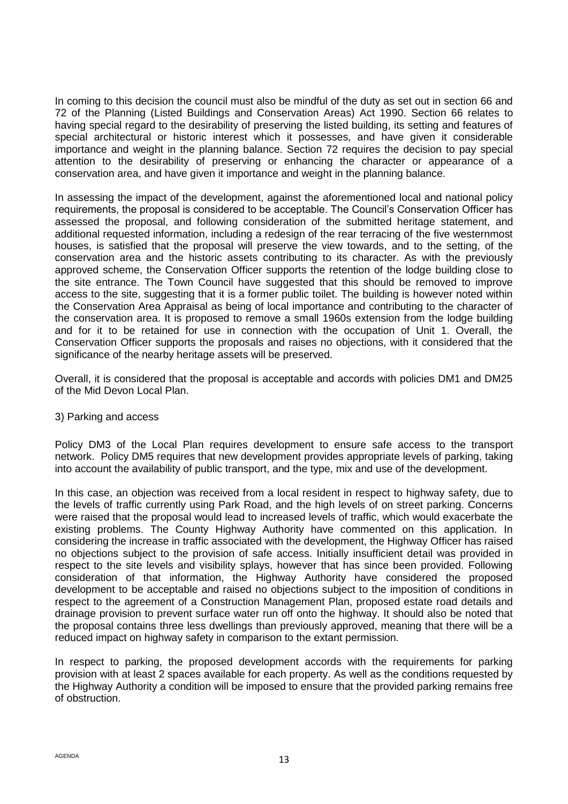In coming to this decision the council must also be mindful of the duty as set out in section 66 and 72 of the Planning (Listed Buildings and Conservation Areas) Act 1990. Section 66 relates to having special regard to the desirability of preserving the listed building, its setting and features of special architectural or historic interest which it possesses, and have given it considerable importance and weight in the planning balance. Section 72 requires the decision to pay special attention to the desirability of preserving or enhancing the character or appearance of a conservation area, and have given it importance and weight in the planning balance.

In assessing the impact of the development, against the aforementioned local and national policy requirements, the proposal is considered to be acceptable. The Council's Conservation Officer has assessed the proposal, and following consideration of the submitted heritage statement, and additional requested information, including a redesign of the rear terracing of the five westernmost houses, is satisfied that the proposal will preserve the view towards, and to the setting, of the conservation area and the historic assets contributing to its character. As with the previously approved scheme, the Conservation Officer supports the retention of the lodge building close to the site entrance. The Town Council have suggested that this should be removed to improve access to the site, suggesting that it is a former public toilet. The building is however noted within the Conservation Area Appraisal as being of local importance and contributing to the character of the conservation area. It is proposed to remove a small 1960s extension from the lodge building and for it to be retained for use in connection with the occupation of Unit 1. Overall, the Conservation Officer supports the proposals and raises no objections, with it considered that the significance of the nearby heritage assets will be preserved.

Overall, it is considered that the proposal is acceptable and accords with policies DM1 and DM25 of the Mid Devon Local Plan.

## 3) Parking and access

Policy DM3 of the Local Plan requires development to ensure safe access to the transport network. Policy DM5 requires that new development provides appropriate levels of parking, taking into account the availability of public transport, and the type, mix and use of the development.

In this case, an objection was received from a local resident in respect to highway safety, due to the levels of traffic currently using Park Road, and the high levels of on street parking. Concerns were raised that the proposal would lead to increased levels of traffic, which would exacerbate the existing problems. The County Highway Authority have commented on this application. In considering the increase in traffic associated with the development, the Highway Officer has raised no objections subject to the provision of safe access. Initially insufficient detail was provided in respect to the site levels and visibility splays, however that has since been provided. Following consideration of that information, the Highway Authority have considered the proposed development to be acceptable and raised no objections subject to the imposition of conditions in respect to the agreement of a Construction Management Plan, proposed estate road details and drainage provision to prevent surface water run off onto the highway. It should also be noted that the proposal contains three less dwellings than previously approved, meaning that there will be a reduced impact on highway safety in comparison to the extant permission.

In respect to parking, the proposed development accords with the requirements for parking provision with at least 2 spaces available for each property. As well as the conditions requested by the Highway Authority a condition will be imposed to ensure that the provided parking remains free of obstruction.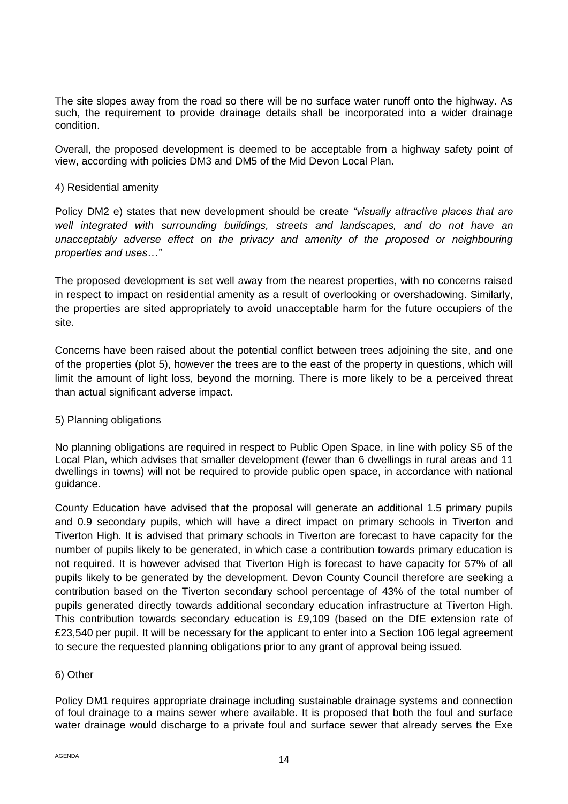The site slopes away from the road so there will be no surface water runoff onto the highway. As such, the requirement to provide drainage details shall be incorporated into a wider drainage condition.

Overall, the proposed development is deemed to be acceptable from a highway safety point of view, according with policies DM3 and DM5 of the Mid Devon Local Plan.

## 4) Residential amenity

Policy DM2 e) states that new development should be create *"visually attractive places that are well integrated with surrounding buildings, streets and landscapes, and do not have an unacceptably adverse effect on the privacy and amenity of the proposed or neighbouring properties and uses…"*

The proposed development is set well away from the nearest properties, with no concerns raised in respect to impact on residential amenity as a result of overlooking or overshadowing. Similarly, the properties are sited appropriately to avoid unacceptable harm for the future occupiers of the site.

Concerns have been raised about the potential conflict between trees adjoining the site, and one of the properties (plot 5), however the trees are to the east of the property in questions, which will limit the amount of light loss, beyond the morning. There is more likely to be a perceived threat than actual significant adverse impact.

## 5) Planning obligations

No planning obligations are required in respect to Public Open Space, in line with policy S5 of the Local Plan, which advises that smaller development (fewer than 6 dwellings in rural areas and 11 dwellings in towns) will not be required to provide public open space, in accordance with national guidance.

County Education have advised that the proposal will generate an additional 1.5 primary pupils and 0.9 secondary pupils, which will have a direct impact on primary schools in Tiverton and Tiverton High. It is advised that primary schools in Tiverton are forecast to have capacity for the number of pupils likely to be generated, in which case a contribution towards primary education is not required. It is however advised that Tiverton High is forecast to have capacity for 57% of all pupils likely to be generated by the development. Devon County Council therefore are seeking a contribution based on the Tiverton secondary school percentage of 43% of the total number of pupils generated directly towards additional secondary education infrastructure at Tiverton High. This contribution towards secondary education is £9,109 (based on the DfE extension rate of £23,540 per pupil. It will be necessary for the applicant to enter into a Section 106 legal agreement to secure the requested planning obligations prior to any grant of approval being issued.

## 6) Other

Policy DM1 requires appropriate drainage including sustainable drainage systems and connection of foul drainage to a mains sewer where available. It is proposed that both the foul and surface water drainage would discharge to a private foul and surface sewer that already serves the Exe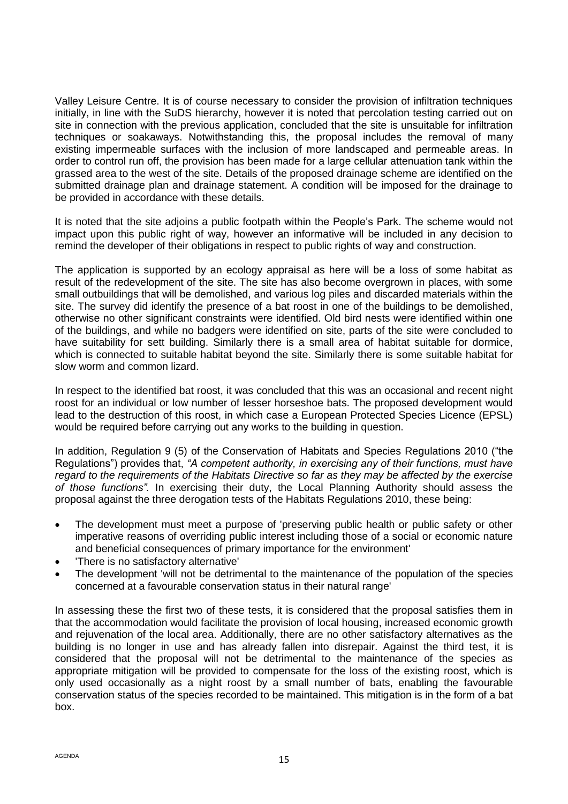Valley Leisure Centre. It is of course necessary to consider the provision of infiltration techniques initially, in line with the SuDS hierarchy, however it is noted that percolation testing carried out on site in connection with the previous application, concluded that the site is unsuitable for infiltration techniques or soakaways. Notwithstanding this, the proposal includes the removal of many existing impermeable surfaces with the inclusion of more landscaped and permeable areas. In order to control run off, the provision has been made for a large cellular attenuation tank within the grassed area to the west of the site. Details of the proposed drainage scheme are identified on the submitted drainage plan and drainage statement. A condition will be imposed for the drainage to be provided in accordance with these details.

It is noted that the site adjoins a public footpath within the People's Park. The scheme would not impact upon this public right of way, however an informative will be included in any decision to remind the developer of their obligations in respect to public rights of way and construction.

The application is supported by an ecology appraisal as here will be a loss of some habitat as result of the redevelopment of the site. The site has also become overgrown in places, with some small outbuildings that will be demolished, and various log piles and discarded materials within the site. The survey did identify the presence of a bat roost in one of the buildings to be demolished, otherwise no other significant constraints were identified. Old bird nests were identified within one of the buildings, and while no badgers were identified on site, parts of the site were concluded to have suitability for sett building. Similarly there is a small area of habitat suitable for dormice, which is connected to suitable habitat beyond the site. Similarly there is some suitable habitat for slow worm and common lizard.

In respect to the identified bat roost, it was concluded that this was an occasional and recent night roost for an individual or low number of lesser horseshoe bats. The proposed development would lead to the destruction of this roost, in which case a European Protected Species Licence (EPSL) would be required before carrying out any works to the building in question.

In addition, Regulation 9 (5) of the Conservation of Habitats and Species Regulations 2010 ("the Regulations") provides that, *"A competent authority, in exercising any of their functions, must have regard to the requirements of the Habitats Directive so far as they may be affected by the exercise of those functions".* In exercising their duty, the Local Planning Authority should assess the proposal against the three derogation tests of the Habitats Regulations 2010, these being:

- The development must meet a purpose of 'preserving public health or public safety or other imperative reasons of overriding public interest including those of a social or economic nature and beneficial consequences of primary importance for the environment'
- 'There is no satisfactory alternative'
- The development 'will not be detrimental to the maintenance of the population of the species concerned at a favourable conservation status in their natural range'

In assessing these the first two of these tests, it is considered that the proposal satisfies them in that the accommodation would facilitate the provision of local housing, increased economic growth and rejuvenation of the local area. Additionally, there are no other satisfactory alternatives as the building is no longer in use and has already fallen into disrepair. Against the third test, it is considered that the proposal will not be detrimental to the maintenance of the species as appropriate mitigation will be provided to compensate for the loss of the existing roost, which is only used occasionally as a night roost by a small number of bats, enabling the favourable conservation status of the species recorded to be maintained. This mitigation is in the form of a bat box.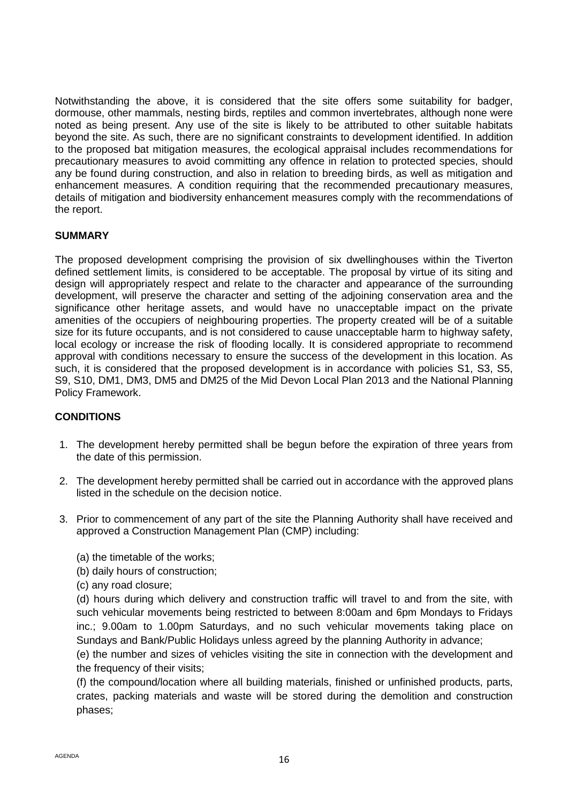Notwithstanding the above, it is considered that the site offers some suitability for badger, dormouse, other mammals, nesting birds, reptiles and common invertebrates, although none were noted as being present. Any use of the site is likely to be attributed to other suitable habitats beyond the site. As such, there are no significant constraints to development identified. In addition to the proposed bat mitigation measures, the ecological appraisal includes recommendations for precautionary measures to avoid committing any offence in relation to protected species, should any be found during construction, and also in relation to breeding birds, as well as mitigation and enhancement measures. A condition requiring that the recommended precautionary measures, details of mitigation and biodiversity enhancement measures comply with the recommendations of the report.

# **SUMMARY**

The proposed development comprising the provision of six dwellinghouses within the Tiverton defined settlement limits, is considered to be acceptable. The proposal by virtue of its siting and design will appropriately respect and relate to the character and appearance of the surrounding development, will preserve the character and setting of the adjoining conservation area and the significance other heritage assets, and would have no unacceptable impact on the private amenities of the occupiers of neighbouring properties. The property created will be of a suitable size for its future occupants, and is not considered to cause unacceptable harm to highway safety, local ecology or increase the risk of flooding locally. It is considered appropriate to recommend approval with conditions necessary to ensure the success of the development in this location. As such, it is considered that the proposed development is in accordance with policies S1, S3, S5, S9, S10, DM1, DM3, DM5 and DM25 of the Mid Devon Local Plan 2013 and the National Planning Policy Framework.

# **CONDITIONS**

- 1. The development hereby permitted shall be begun before the expiration of three years from the date of this permission.
- 2. The development hereby permitted shall be carried out in accordance with the approved plans listed in the schedule on the decision notice.
- 3. Prior to commencement of any part of the site the Planning Authority shall have received and approved a Construction Management Plan (CMP) including:
	- (a) the timetable of the works;
	- (b) daily hours of construction;
	- (c) any road closure;

(d) hours during which delivery and construction traffic will travel to and from the site, with such vehicular movements being restricted to between 8:00am and 6pm Mondays to Fridays inc.; 9.00am to 1.00pm Saturdays, and no such vehicular movements taking place on Sundays and Bank/Public Holidays unless agreed by the planning Authority in advance;

(e) the number and sizes of vehicles visiting the site in connection with the development and the frequency of their visits;

(f) the compound/location where all building materials, finished or unfinished products, parts, crates, packing materials and waste will be stored during the demolition and construction phases;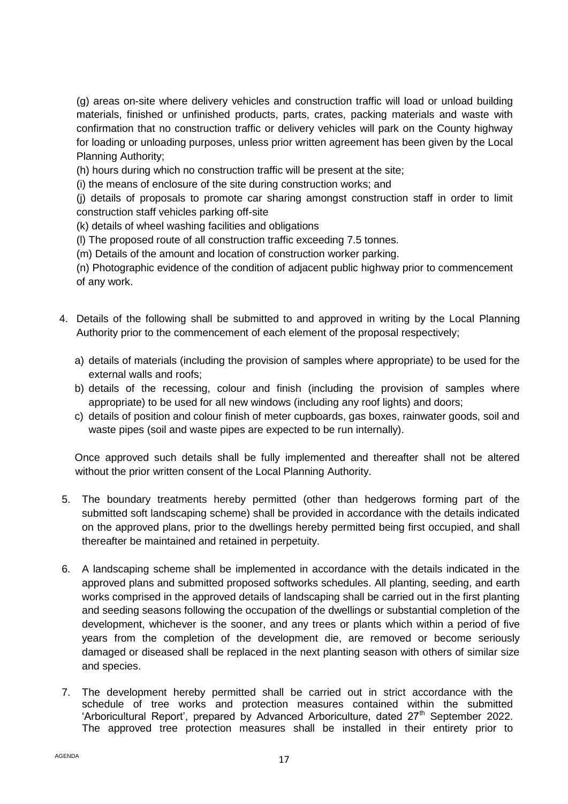(g) areas on-site where delivery vehicles and construction traffic will load or unload building materials, finished or unfinished products, parts, crates, packing materials and waste with confirmation that no construction traffic or delivery vehicles will park on the County highway for loading or unloading purposes, unless prior written agreement has been given by the Local Planning Authority;

(h) hours during which no construction traffic will be present at the site;

(i) the means of enclosure of the site during construction works; and

(j) details of proposals to promote car sharing amongst construction staff in order to limit construction staff vehicles parking off-site

(k) details of wheel washing facilities and obligations

(l) The proposed route of all construction traffic exceeding 7.5 tonnes.

(m) Details of the amount and location of construction worker parking.

(n) Photographic evidence of the condition of adjacent public highway prior to commencement of any work.

- 4. Details of the following shall be submitted to and approved in writing by the Local Planning Authority prior to the commencement of each element of the proposal respectively;
	- a) details of materials (including the provision of samples where appropriate) to be used for the external walls and roofs;
	- b) details of the recessing, colour and finish (including the provision of samples where appropriate) to be used for all new windows (including any roof lights) and doors;
	- c) details of position and colour finish of meter cupboards, gas boxes, rainwater goods, soil and waste pipes (soil and waste pipes are expected to be run internally).

Once approved such details shall be fully implemented and thereafter shall not be altered without the prior written consent of the Local Planning Authority.

- 5. The boundary treatments hereby permitted (other than hedgerows forming part of the submitted soft landscaping scheme) shall be provided in accordance with the details indicated on the approved plans, prior to the dwellings hereby permitted being first occupied, and shall thereafter be maintained and retained in perpetuity.
- 6. A landscaping scheme shall be implemented in accordance with the details indicated in the approved plans and submitted proposed softworks schedules. All planting, seeding, and earth works comprised in the approved details of landscaping shall be carried out in the first planting and seeding seasons following the occupation of the dwellings or substantial completion of the development, whichever is the sooner, and any trees or plants which within a period of five years from the completion of the development die, are removed or become seriously damaged or diseased shall be replaced in the next planting season with others of similar size and species.
- 7. The development hereby permitted shall be carried out in strict accordance with the schedule of tree works and protection measures contained within the submitted 'Arboricultural Report', prepared by Advanced Arboriculture, dated  $27<sup>th</sup>$  September 2022. The approved tree protection measures shall be installed in their entirety prior to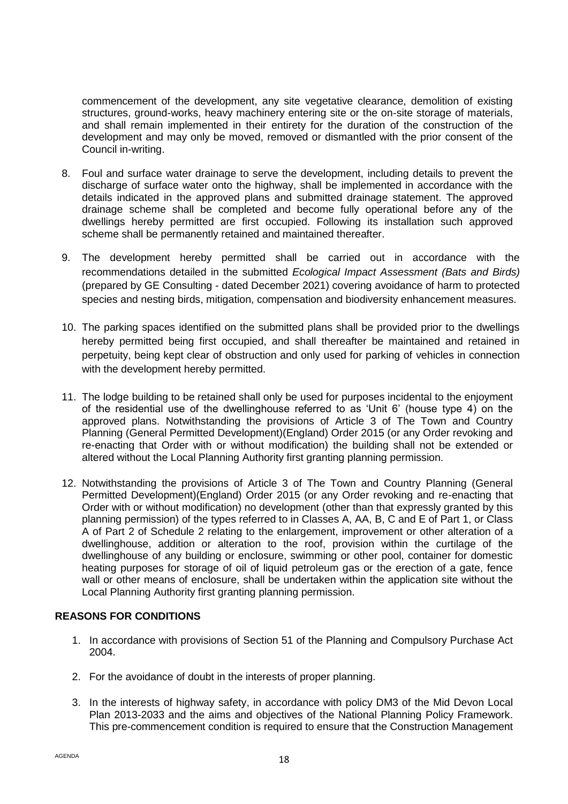commencement of the development, any site vegetative clearance, demolition of existing structures, ground-works, heavy machinery entering site or the on-site storage of materials, and shall remain implemented in their entirety for the duration of the construction of the development and may only be moved, removed or dismantled with the prior consent of the Council in-writing.

- 8. Foul and surface water drainage to serve the development, including details to prevent the discharge of surface water onto the highway, shall be implemented in accordance with the details indicated in the approved plans and submitted drainage statement. The approved drainage scheme shall be completed and become fully operational before any of the dwellings hereby permitted are first occupied. Following its installation such approved scheme shall be permanently retained and maintained thereafter.
- 9. The development hereby permitted shall be carried out in accordance with the recommendations detailed in the submitted *Ecological Impact Assessment (Bats and Birds)*  (prepared by GE Consulting - dated December 2021) covering avoidance of harm to protected species and nesting birds, mitigation, compensation and biodiversity enhancement measures.
- 10. The parking spaces identified on the submitted plans shall be provided prior to the dwellings hereby permitted being first occupied, and shall thereafter be maintained and retained in perpetuity, being kept clear of obstruction and only used for parking of vehicles in connection with the development hereby permitted.
- 11. The lodge building to be retained shall only be used for purposes incidental to the enjoyment of the residential use of the dwellinghouse referred to as 'Unit 6' (house type 4) on the approved plans. Notwithstanding the provisions of Article 3 of The Town and Country Planning (General Permitted Development)(England) Order 2015 (or any Order revoking and re-enacting that Order with or without modification) the building shall not be extended or altered without the Local Planning Authority first granting planning permission.
- 12. Notwithstanding the provisions of Article 3 of The Town and Country Planning (General Permitted Development)(England) Order 2015 (or any Order revoking and re-enacting that Order with or without modification) no development (other than that expressly granted by this planning permission) of the types referred to in Classes A, AA, B, C and E of Part 1, or Class A of Part 2 of Schedule 2 relating to the enlargement, improvement or other alteration of a dwellinghouse, addition or alteration to the roof, provision within the curtilage of the dwellinghouse of any building or enclosure, swimming or other pool, container for domestic heating purposes for storage of oil of liquid petroleum gas or the erection of a gate, fence wall or other means of enclosure, shall be undertaken within the application site without the Local Planning Authority first granting planning permission.

## **REASONS FOR CONDITIONS**

- 1. In accordance with provisions of Section 51 of the Planning and Compulsory Purchase Act 2004.
- 2. For the avoidance of doubt in the interests of proper planning.
- 3. In the interests of highway safety, in accordance with policy DM3 of the Mid Devon Local Plan 2013-2033 and the aims and objectives of the National Planning Policy Framework. This pre-commencement condition is required to ensure that the Construction Management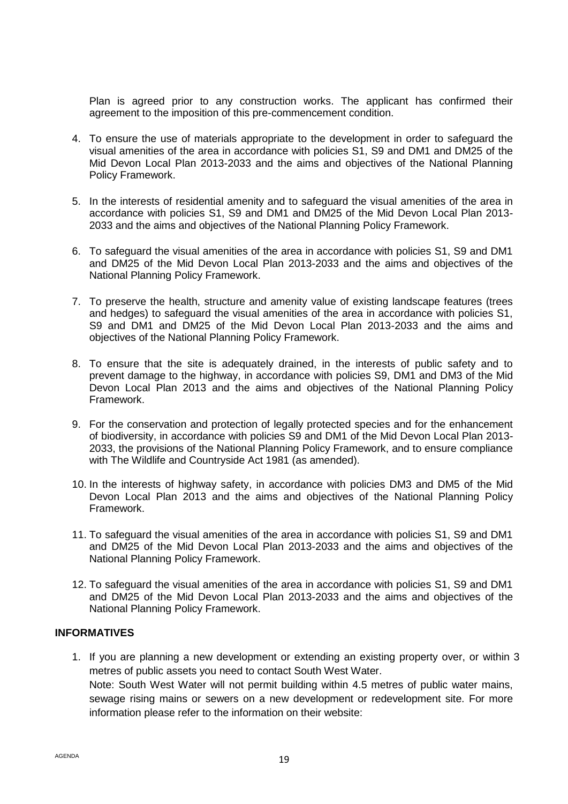Plan is agreed prior to any construction works. The applicant has confirmed their agreement to the imposition of this pre-commencement condition.

- 4. To ensure the use of materials appropriate to the development in order to safeguard the visual amenities of the area in accordance with policies S1, S9 and DM1 and DM25 of the Mid Devon Local Plan 2013-2033 and the aims and objectives of the National Planning Policy Framework.
- 5. In the interests of residential amenity and to safeguard the visual amenities of the area in accordance with policies S1, S9 and DM1 and DM25 of the Mid Devon Local Plan 2013- 2033 and the aims and objectives of the National Planning Policy Framework.
- 6. To safeguard the visual amenities of the area in accordance with policies S1, S9 and DM1 and DM25 of the Mid Devon Local Plan 2013-2033 and the aims and objectives of the National Planning Policy Framework.
- 7. To preserve the health, structure and amenity value of existing landscape features (trees and hedges) to safeguard the visual amenities of the area in accordance with policies S1, S9 and DM1 and DM25 of the Mid Devon Local Plan 2013-2033 and the aims and objectives of the National Planning Policy Framework.
- 8. To ensure that the site is adequately drained, in the interests of public safety and to prevent damage to the highway, in accordance with policies S9, DM1 and DM3 of the Mid Devon Local Plan 2013 and the aims and objectives of the National Planning Policy Framework.
- 9. For the conservation and protection of legally protected species and for the enhancement of biodiversity, in accordance with policies S9 and DM1 of the Mid Devon Local Plan 2013- 2033, the provisions of the National Planning Policy Framework, and to ensure compliance with The Wildlife and Countryside Act 1981 (as amended).
- 10. In the interests of highway safety, in accordance with policies DM3 and DM5 of the Mid Devon Local Plan 2013 and the aims and objectives of the National Planning Policy Framework.
- 11. To safeguard the visual amenities of the area in accordance with policies S1, S9 and DM1 and DM25 of the Mid Devon Local Plan 2013-2033 and the aims and objectives of the National Planning Policy Framework.
- 12. To safeguard the visual amenities of the area in accordance with policies S1, S9 and DM1 and DM25 of the Mid Devon Local Plan 2013-2033 and the aims and objectives of the National Planning Policy Framework.

## **INFORMATIVES**

1. If you are planning a new development or extending an existing property over, or within 3 metres of public assets you need to contact South West Water. Note: South West Water will not permit building within 4.5 metres of public water mains, sewage rising mains or sewers on a new development or redevelopment site. For more information please refer to the information on their website: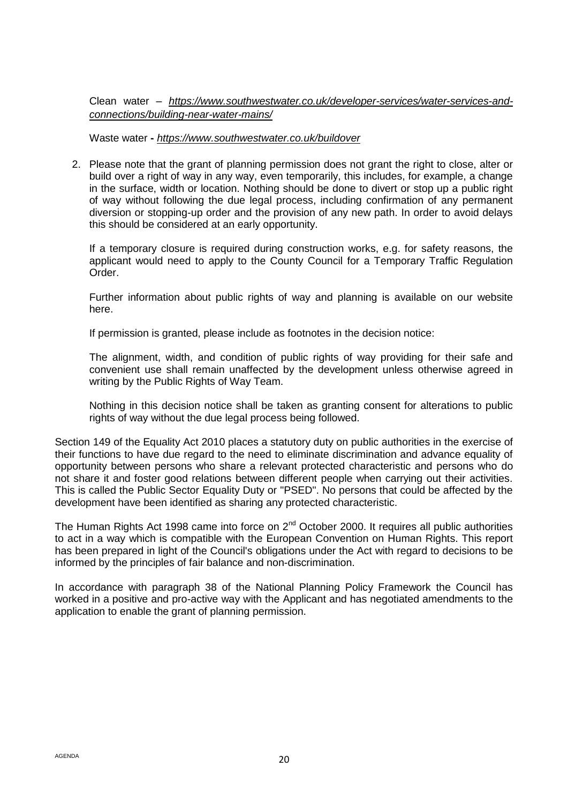Clean water – *[https://www.southwestwater.co.uk/developer-services/water-services-and](https://www.southwestwater.co.uk/developer-services/water-services-and-connections/building-near-water-mains/)[connections/building-near-water-mains/](https://www.southwestwater.co.uk/developer-services/water-services-and-connections/building-near-water-mains/)*

Waste water **-** *<https://www.southwestwater.co.uk/buildover>*

2. Please note that the grant of planning permission does not grant the right to close, alter or build over a right of way in any way, even temporarily, this includes, for example, a change in the surface, width or location. Nothing should be done to divert or stop up a public right of way without following the due legal process, including confirmation of any permanent diversion or stopping-up order and the provision of any new path. In order to avoid delays this should be considered at an early opportunity.

If a temporary closure is required during construction works, e.g. for safety reasons, the applicant would need to apply to the County Council for a Temporary Traffic Regulation Order.

Further information about public rights of way and planning is available on our website here.

If permission is granted, please include as footnotes in the decision notice:

The alignment, width, and condition of public rights of way providing for their safe and convenient use shall remain unaffected by the development unless otherwise agreed in writing by the Public Rights of Way Team.

Nothing in this decision notice shall be taken as granting consent for alterations to public rights of way without the due legal process being followed.

Section 149 of the Equality Act 2010 places a statutory duty on public authorities in the exercise of their functions to have due regard to the need to eliminate discrimination and advance equality of opportunity between persons who share a relevant protected characteristic and persons who do not share it and foster good relations between different people when carrying out their activities. This is called the Public Sector Equality Duty or "PSED". No persons that could be affected by the development have been identified as sharing any protected characteristic.

The Human Rights Act 1998 came into force on 2<sup>nd</sup> October 2000. It requires all public authorities to act in a way which is compatible with the European Convention on Human Rights. This report has been prepared in light of the Council's obligations under the Act with regard to decisions to be informed by the principles of fair balance and non-discrimination.

In accordance with paragraph 38 of the National Planning Policy Framework the Council has worked in a positive and pro-active way with the Applicant and has negotiated amendments to the application to enable the grant of planning permission.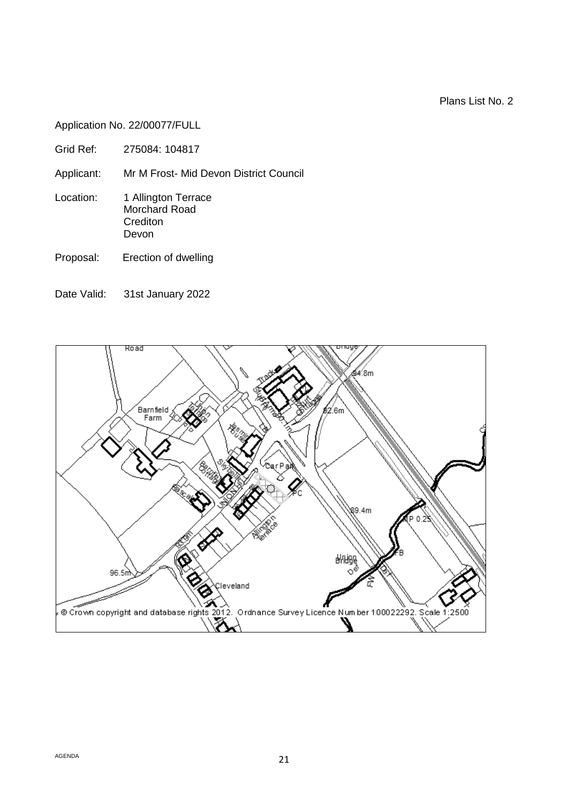Plans List No. 2

Application No. 22/00077/FULL

Applicant: Mr M Frost- Mid Devon District Council

- Location: 1 Allington Terrace Morchard Road **Crediton** Devon
- Proposal: Erection of dwelling
- Date Valid: 31st January 2022

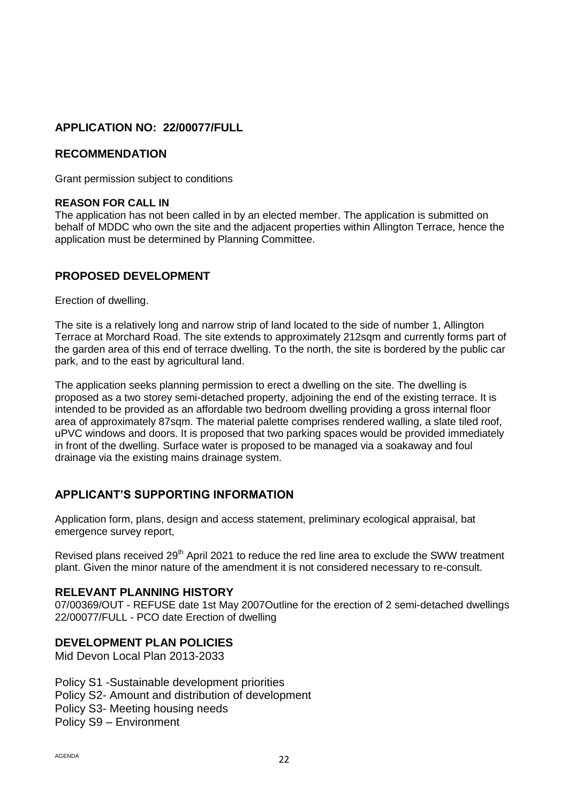# **APPLICATION NO: 22/00077/FULL**

## **RECOMMENDATION**

Grant permission subject to conditions

#### **REASON FOR CALL IN**

The application has not been called in by an elected member. The application is submitted on behalf of MDDC who own the site and the adjacent properties within Allington Terrace, hence the application must be determined by Planning Committee.

# **PROPOSED DEVELOPMENT**

Erection of dwelling.

The site is a relatively long and narrow strip of land located to the side of number 1, Allington Terrace at Morchard Road. The site extends to approximately 212sqm and currently forms part of the garden area of this end of terrace dwelling. To the north, the site is bordered by the public car park, and to the east by agricultural land.

The application seeks planning permission to erect a dwelling on the site. The dwelling is proposed as a two storey semi-detached property, adjoining the end of the existing terrace. It is intended to be provided as an affordable two bedroom dwelling providing a gross internal floor area of approximately 87sqm. The material palette comprises rendered walling, a slate tiled roof, uPVC windows and doors. It is proposed that two parking spaces would be provided immediately in front of the dwelling. Surface water is proposed to be managed via a soakaway and foul drainage via the existing mains drainage system.

# **APPLICANT'S SUPPORTING INFORMATION**

Application form, plans, design and access statement, preliminary ecological appraisal, bat emergence survey report,

Revised plans received 29<sup>th</sup> April 2021 to reduce the red line area to exclude the SWW treatment plant. Given the minor nature of the amendment it is not considered necessary to re-consult.

## **RELEVANT PLANNING HISTORY**

07/00369/OUT - REFUSE date 1st May 2007Outline for the erection of 2 semi-detached dwellings 22/00077/FULL - PCO date Erection of dwelling

# **DEVELOPMENT PLAN POLICIES**

Mid Devon Local Plan 2013-2033

Policy S1 -Sustainable development priorities Policy S2- Amount and distribution of development Policy S3- Meeting housing needs Policy S9 – Environment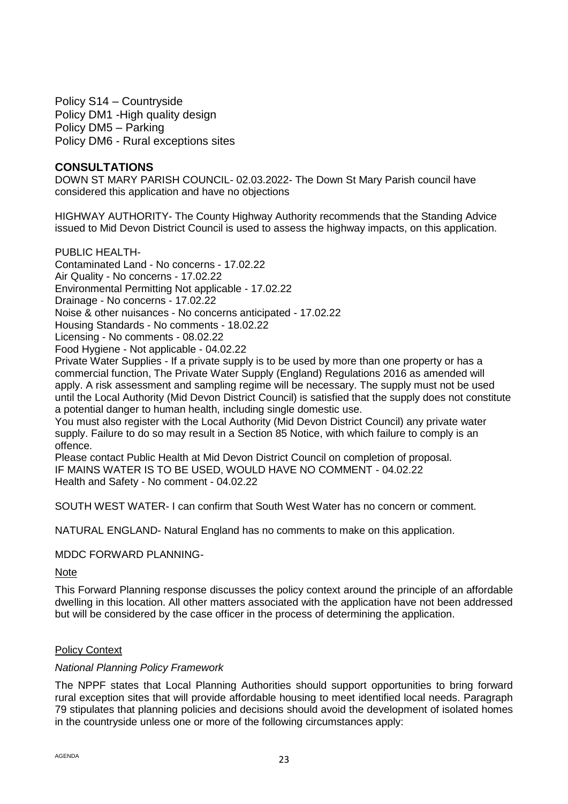Policy S14 – Countryside Policy DM1 -High quality design Policy DM5 – Parking Policy DM6 - Rural exceptions sites

#### **CONSULTATIONS**

DOWN ST MARY PARISH COUNCIL- 02.03.2022- The Down St Mary Parish council have considered this application and have no objections

HIGHWAY AUTHORITY- The County Highway Authority recommends that the Standing Advice issued to Mid Devon District Council is used to assess the highway impacts, on this application.

#### PUBLIC HEALTH-

Contaminated Land - No concerns - 17.02.22

Air Quality - No concerns - 17.02.22

Environmental Permitting Not applicable - 17.02.22

Drainage - No concerns - 17.02.22

Noise & other nuisances - No concerns anticipated - 17.02.22

Housing Standards - No comments - 18.02.22

Licensing - No comments - 08.02.22

Food Hygiene - Not applicable - 04.02.22

Private Water Supplies - If a private supply is to be used by more than one property or has a commercial function, The Private Water Supply (England) Regulations 2016 as amended will apply. A risk assessment and sampling regime will be necessary. The supply must not be used until the Local Authority (Mid Devon District Council) is satisfied that the supply does not constitute a potential danger to human health, including single domestic use.

You must also register with the Local Authority (Mid Devon District Council) any private water supply. Failure to do so may result in a Section 85 Notice, with which failure to comply is an offence.

Please contact Public Health at Mid Devon District Council on completion of proposal. IF MAINS WATER IS TO BE USED, WOULD HAVE NO COMMENT - 04.02.22 Health and Safety - No comment - 04.02.22

SOUTH WEST WATER- I can confirm that South West Water has no concern or comment.

NATURAL ENGLAND- Natural England has no comments to make on this application.

#### MDDC FORWARD PLANNING-

#### **Note**

This Forward Planning response discusses the policy context around the principle of an affordable dwelling in this location. All other matters associated with the application have not been addressed but will be considered by the case officer in the process of determining the application.

#### Policy Context

#### *National Planning Policy Framework*

The NPPF states that Local Planning Authorities should support opportunities to bring forward rural exception sites that will provide affordable housing to meet identified local needs. Paragraph 79 stipulates that planning policies and decisions should avoid the development of isolated homes in the countryside unless one or more of the following circumstances apply: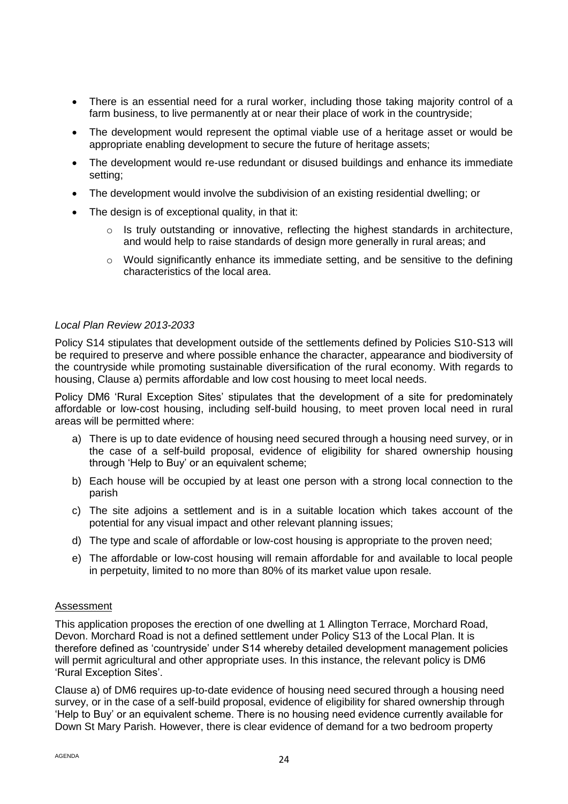- There is an essential need for a rural worker, including those taking majority control of a farm business, to live permanently at or near their place of work in the countryside;
- The development would represent the optimal viable use of a heritage asset or would be appropriate enabling development to secure the future of heritage assets;
- The development would re-use redundant or disused buildings and enhance its immediate setting;
- The development would involve the subdivision of an existing residential dwelling; or
- The design is of exceptional quality, in that it:
	- $\circ$  Is truly outstanding or innovative, reflecting the highest standards in architecture, and would help to raise standards of design more generally in rural areas; and
	- o Would significantly enhance its immediate setting, and be sensitive to the defining characteristics of the local area.

## *Local Plan Review 2013-2033*

Policy S14 stipulates that development outside of the settlements defined by Policies S10-S13 will be required to preserve and where possible enhance the character, appearance and biodiversity of the countryside while promoting sustainable diversification of the rural economy. With regards to housing, Clause a) permits affordable and low cost housing to meet local needs.

Policy DM6 'Rural Exception Sites' stipulates that the development of a site for predominately affordable or low-cost housing, including self-build housing, to meet proven local need in rural areas will be permitted where:

- a) There is up to date evidence of housing need secured through a housing need survey, or in the case of a self-build proposal, evidence of eligibility for shared ownership housing through 'Help to Buy' or an equivalent scheme;
- b) Each house will be occupied by at least one person with a strong local connection to the parish
- c) The site adjoins a settlement and is in a suitable location which takes account of the potential for any visual impact and other relevant planning issues;
- d) The type and scale of affordable or low-cost housing is appropriate to the proven need;
- e) The affordable or low-cost housing will remain affordable for and available to local people in perpetuity, limited to no more than 80% of its market value upon resale.

## Assessment

This application proposes the erection of one dwelling at 1 Allington Terrace, Morchard Road, Devon. Morchard Road is not a defined settlement under Policy S13 of the Local Plan. It is therefore defined as 'countryside' under S14 whereby detailed development management policies will permit agricultural and other appropriate uses. In this instance, the relevant policy is DM6 'Rural Exception Sites'.

Clause a) of DM6 requires up-to-date evidence of housing need secured through a housing need survey, or in the case of a self-build proposal, evidence of eligibility for shared ownership through 'Help to Buy' or an equivalent scheme. There is no housing need evidence currently available for Down St Mary Parish. However, there is clear evidence of demand for a two bedroom property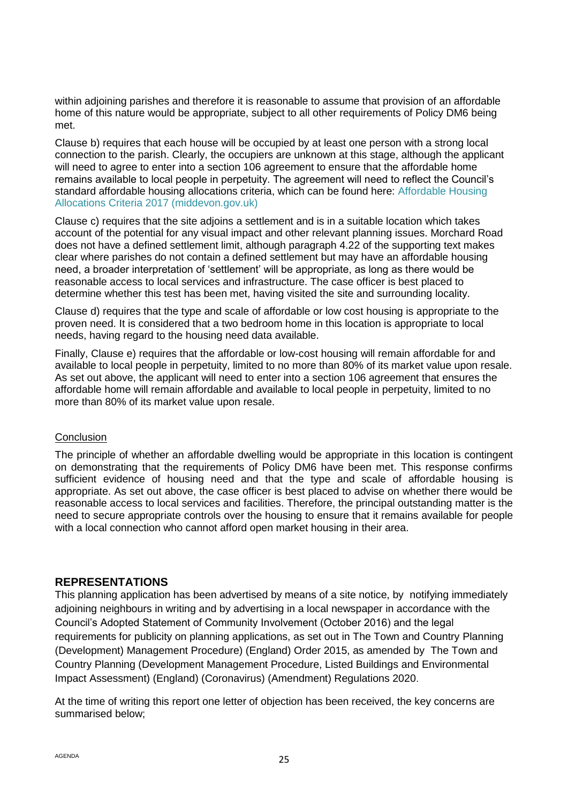within adjoining parishes and therefore it is reasonable to assume that provision of an affordable home of this nature would be appropriate, subject to all other requirements of Policy DM6 being met.

Clause b) requires that each house will be occupied by at least one person with a strong local connection to the parish. Clearly, the occupiers are unknown at this stage, although the applicant will need to agree to enter into a section 106 agreement to ensure that the affordable home remains available to local people in perpetuity. The agreement will need to reflect the Council's standard affordable housing allocations criteria, which can be found here: [Affordable Housing](https://www.middevon.gov.uk/media/345298/affordable-housing-allocations-criteria-2017.pdf)  [Allocations Criteria 2017 \(middevon.gov.uk\)](https://www.middevon.gov.uk/media/345298/affordable-housing-allocations-criteria-2017.pdf)

Clause c) requires that the site adjoins a settlement and is in a suitable location which takes account of the potential for any visual impact and other relevant planning issues. Morchard Road does not have a defined settlement limit, although paragraph 4.22 of the supporting text makes clear where parishes do not contain a defined settlement but may have an affordable housing need, a broader interpretation of 'settlement' will be appropriate, as long as there would be reasonable access to local services and infrastructure. The case officer is best placed to determine whether this test has been met, having visited the site and surrounding locality.

Clause d) requires that the type and scale of affordable or low cost housing is appropriate to the proven need. It is considered that a two bedroom home in this location is appropriate to local needs, having regard to the housing need data available.

Finally, Clause e) requires that the affordable or low-cost housing will remain affordable for and available to local people in perpetuity, limited to no more than 80% of its market value upon resale. As set out above, the applicant will need to enter into a section 106 agreement that ensures the affordable home will remain affordable and available to local people in perpetuity, limited to no more than 80% of its market value upon resale.

## **Conclusion**

The principle of whether an affordable dwelling would be appropriate in this location is contingent on demonstrating that the requirements of Policy DM6 have been met. This response confirms sufficient evidence of housing need and that the type and scale of affordable housing is appropriate. As set out above, the case officer is best placed to advise on whether there would be reasonable access to local services and facilities. Therefore, the principal outstanding matter is the need to secure appropriate controls over the housing to ensure that it remains available for people with a local connection who cannot afford open market housing in their area.

## **REPRESENTATIONS**

This planning application has been advertised by means of a site notice, by notifying immediately adjoining neighbours in writing and by advertising in a local newspaper in accordance with the Council's Adopted Statement of Community Involvement (October 2016) and the legal requirements for publicity on planning applications, as set out in The Town and Country Planning (Development) Management Procedure) (England) Order 2015, as amended by The Town and Country Planning (Development Management Procedure, Listed Buildings and Environmental Impact Assessment) (England) (Coronavirus) (Amendment) Regulations 2020.

At the time of writing this report one letter of objection has been received, the key concerns are summarised below;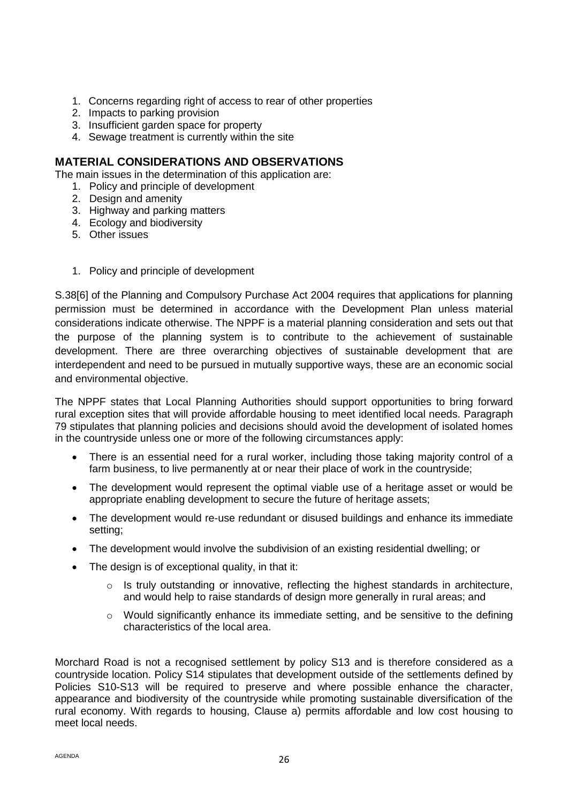- 1. Concerns regarding right of access to rear of other properties
- 2. Impacts to parking provision
- 3. Insufficient garden space for property
- 4. Sewage treatment is currently within the site

# **MATERIAL CONSIDERATIONS AND OBSERVATIONS**

The main issues in the determination of this application are:

- 1. Policy and principle of development
- 2. Design and amenity
- 3. Highway and parking matters
- 4. Ecology and biodiversity
- 5. Other issues
- 1. Policy and principle of development

S.38[6] of the Planning and Compulsory Purchase Act 2004 requires that applications for planning permission must be determined in accordance with the Development Plan unless material considerations indicate otherwise. The NPPF is a material planning consideration and sets out that the purpose of the planning system is to contribute to the achievement of sustainable development. There are three overarching objectives of sustainable development that are interdependent and need to be pursued in mutually supportive ways, these are an economic social and environmental objective.

The NPPF states that Local Planning Authorities should support opportunities to bring forward rural exception sites that will provide affordable housing to meet identified local needs. Paragraph 79 stipulates that planning policies and decisions should avoid the development of isolated homes in the countryside unless one or more of the following circumstances apply:

- There is an essential need for a rural worker, including those taking majority control of a farm business, to live permanently at or near their place of work in the countryside;
- The development would represent the optimal viable use of a heritage asset or would be appropriate enabling development to secure the future of heritage assets;
- The development would re-use redundant or disused buildings and enhance its immediate setting;
- The development would involve the subdivision of an existing residential dwelling; or
- The design is of exceptional quality, in that it:
	- $\circ$  Is truly outstanding or innovative, reflecting the highest standards in architecture, and would help to raise standards of design more generally in rural areas; and
	- $\circ$  Would significantly enhance its immediate setting, and be sensitive to the defining characteristics of the local area.

Morchard Road is not a recognised settlement by policy S13 and is therefore considered as a countryside location. Policy S14 stipulates that development outside of the settlements defined by Policies S10-S13 will be required to preserve and where possible enhance the character, appearance and biodiversity of the countryside while promoting sustainable diversification of the rural economy. With regards to housing, Clause a) permits affordable and low cost housing to meet local needs.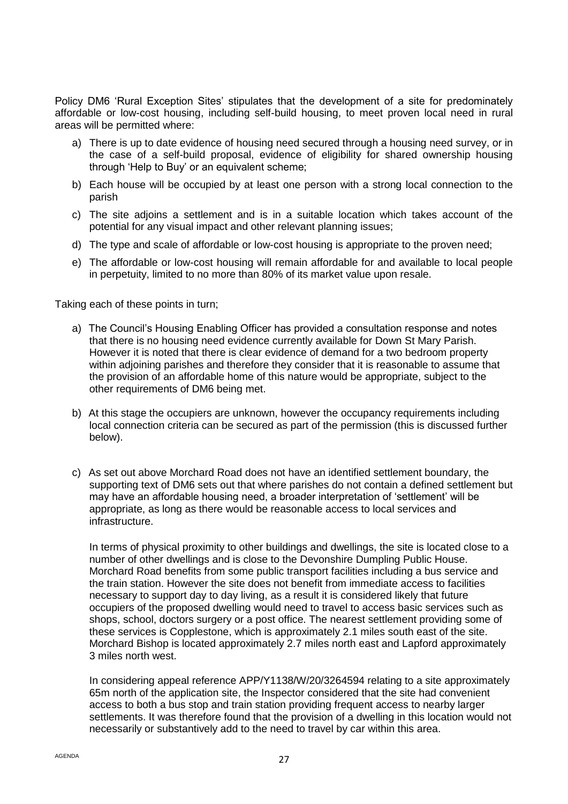Policy DM6 'Rural Exception Sites' stipulates that the development of a site for predominately affordable or low-cost housing, including self-build housing, to meet proven local need in rural areas will be permitted where:

- a) There is up to date evidence of housing need secured through a housing need survey, or in the case of a self-build proposal, evidence of eligibility for shared ownership housing through 'Help to Buy' or an equivalent scheme;
- b) Each house will be occupied by at least one person with a strong local connection to the parish
- c) The site adjoins a settlement and is in a suitable location which takes account of the potential for any visual impact and other relevant planning issues;
- d) The type and scale of affordable or low-cost housing is appropriate to the proven need;
- e) The affordable or low-cost housing will remain affordable for and available to local people in perpetuity, limited to no more than 80% of its market value upon resale.

Taking each of these points in turn;

- a) The Council's Housing Enabling Officer has provided a consultation response and notes that there is no housing need evidence currently available for Down St Mary Parish. However it is noted that there is clear evidence of demand for a two bedroom property within adjoining parishes and therefore they consider that it is reasonable to assume that the provision of an affordable home of this nature would be appropriate, subject to the other requirements of DM6 being met.
- b) At this stage the occupiers are unknown, however the occupancy requirements including local connection criteria can be secured as part of the permission (this is discussed further below).
- c) As set out above Morchard Road does not have an identified settlement boundary, the supporting text of DM6 sets out that where parishes do not contain a defined settlement but may have an affordable housing need, a broader interpretation of 'settlement' will be appropriate, as long as there would be reasonable access to local services and infrastructure.

In terms of physical proximity to other buildings and dwellings, the site is located close to a number of other dwellings and is close to the Devonshire Dumpling Public House. Morchard Road benefits from some public transport facilities including a bus service and the train station. However the site does not benefit from immediate access to facilities necessary to support day to day living, as a result it is considered likely that future occupiers of the proposed dwelling would need to travel to access basic services such as shops, school, doctors surgery or a post office. The nearest settlement providing some of these services is Copplestone, which is approximately 2.1 miles south east of the site. Morchard Bishop is located approximately 2.7 miles north east and Lapford approximately 3 miles north west.

In considering appeal reference APP/Y1138/W/20/3264594 relating to a site approximately 65m north of the application site, the Inspector considered that the site had convenient access to both a bus stop and train station providing frequent access to nearby larger settlements. It was therefore found that the provision of a dwelling in this location would not necessarily or substantively add to the need to travel by car within this area.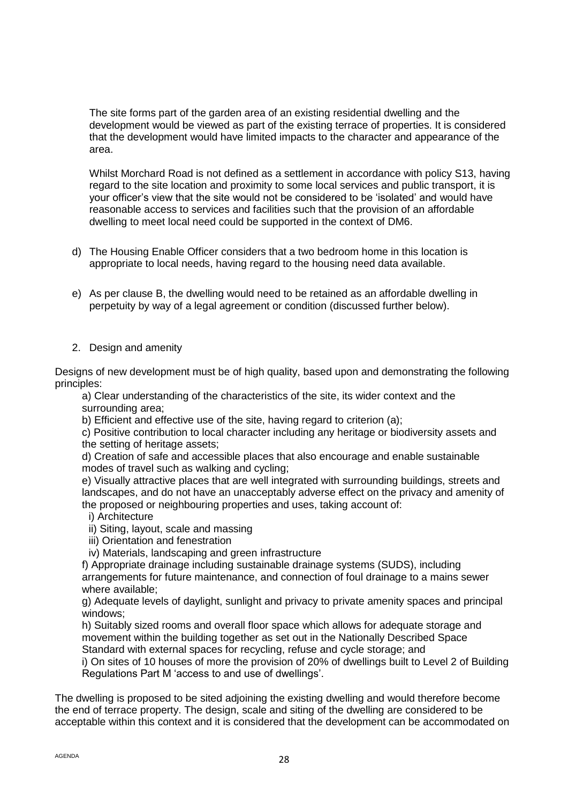The site forms part of the garden area of an existing residential dwelling and the development would be viewed as part of the existing terrace of properties. It is considered that the development would have limited impacts to the character and appearance of the area.

Whilst Morchard Road is not defined as a settlement in accordance with policy S13, having regard to the site location and proximity to some local services and public transport, it is your officer's view that the site would not be considered to be 'isolated' and would have reasonable access to services and facilities such that the provision of an affordable dwelling to meet local need could be supported in the context of DM6.

- d) The Housing Enable Officer considers that a two bedroom home in this location is appropriate to local needs, having regard to the housing need data available.
- e) As per clause B, the dwelling would need to be retained as an affordable dwelling in perpetuity by way of a legal agreement or condition (discussed further below).

## 2. Design and amenity

Designs of new development must be of high quality, based upon and demonstrating the following principles:

a) Clear understanding of the characteristics of the site, its wider context and the surrounding area;

b) Efficient and effective use of the site, having regard to criterion (a);

c) Positive contribution to local character including any heritage or biodiversity assets and the setting of heritage assets;

d) Creation of safe and accessible places that also encourage and enable sustainable modes of travel such as walking and cycling;

e) Visually attractive places that are well integrated with surrounding buildings, streets and landscapes, and do not have an unacceptably adverse effect on the privacy and amenity of the proposed or neighbouring properties and uses, taking account of:

- i) Architecture
- ii) Siting, layout, scale and massing
- iii) Orientation and fenestration
- iv) Materials, landscaping and green infrastructure

f) Appropriate drainage including sustainable drainage systems (SUDS), including arrangements for future maintenance, and connection of foul drainage to a mains sewer where available;

g) Adequate levels of daylight, sunlight and privacy to private amenity spaces and principal windows:

h) Suitably sized rooms and overall floor space which allows for adequate storage and movement within the building together as set out in the Nationally Described Space Standard with external spaces for recycling, refuse and cycle storage; and

i) On sites of 10 houses of more the provision of 20% of dwellings built to Level 2 of Building Regulations Part M 'access to and use of dwellings'.

The dwelling is proposed to be sited adjoining the existing dwelling and would therefore become the end of terrace property. The design, scale and siting of the dwelling are considered to be acceptable within this context and it is considered that the development can be accommodated on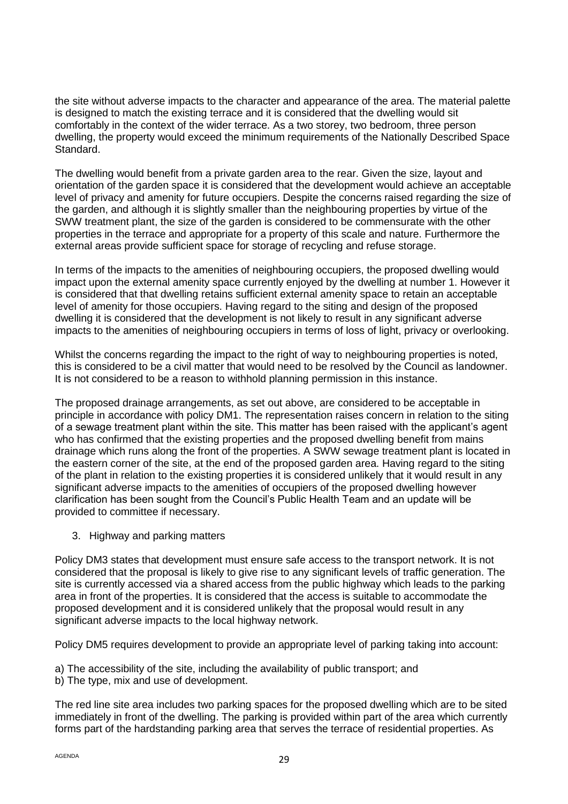the site without adverse impacts to the character and appearance of the area. The material palette is designed to match the existing terrace and it is considered that the dwelling would sit comfortably in the context of the wider terrace. As a two storey, two bedroom, three person dwelling, the property would exceed the minimum requirements of the Nationally Described Space Standard.

The dwelling would benefit from a private garden area to the rear. Given the size, layout and orientation of the garden space it is considered that the development would achieve an acceptable level of privacy and amenity for future occupiers. Despite the concerns raised regarding the size of the garden, and although it is slightly smaller than the neighbouring properties by virtue of the SWW treatment plant, the size of the garden is considered to be commensurate with the other properties in the terrace and appropriate for a property of this scale and nature. Furthermore the external areas provide sufficient space for storage of recycling and refuse storage.

In terms of the impacts to the amenities of neighbouring occupiers, the proposed dwelling would impact upon the external amenity space currently enjoyed by the dwelling at number 1. However it is considered that that dwelling retains sufficient external amenity space to retain an acceptable level of amenity for those occupiers. Having regard to the siting and design of the proposed dwelling it is considered that the development is not likely to result in any significant adverse impacts to the amenities of neighbouring occupiers in terms of loss of light, privacy or overlooking.

Whilst the concerns regarding the impact to the right of way to neighbouring properties is noted, this is considered to be a civil matter that would need to be resolved by the Council as landowner. It is not considered to be a reason to withhold planning permission in this instance.

The proposed drainage arrangements, as set out above, are considered to be acceptable in principle in accordance with policy DM1. The representation raises concern in relation to the siting of a sewage treatment plant within the site. This matter has been raised with the applicant's agent who has confirmed that the existing properties and the proposed dwelling benefit from mains drainage which runs along the front of the properties. A SWW sewage treatment plant is located in the eastern corner of the site, at the end of the proposed garden area. Having regard to the siting of the plant in relation to the existing properties it is considered unlikely that it would result in any significant adverse impacts to the amenities of occupiers of the proposed dwelling however clarification has been sought from the Council's Public Health Team and an update will be provided to committee if necessary.

3. Highway and parking matters

Policy DM3 states that development must ensure safe access to the transport network. It is not considered that the proposal is likely to give rise to any significant levels of traffic generation. The site is currently accessed via a shared access from the public highway which leads to the parking area in front of the properties. It is considered that the access is suitable to accommodate the proposed development and it is considered unlikely that the proposal would result in any significant adverse impacts to the local highway network.

Policy DM5 requires development to provide an appropriate level of parking taking into account:

a) The accessibility of the site, including the availability of public transport; and

b) The type, mix and use of development.

The red line site area includes two parking spaces for the proposed dwelling which are to be sited immediately in front of the dwelling. The parking is provided within part of the area which currently forms part of the hardstanding parking area that serves the terrace of residential properties. As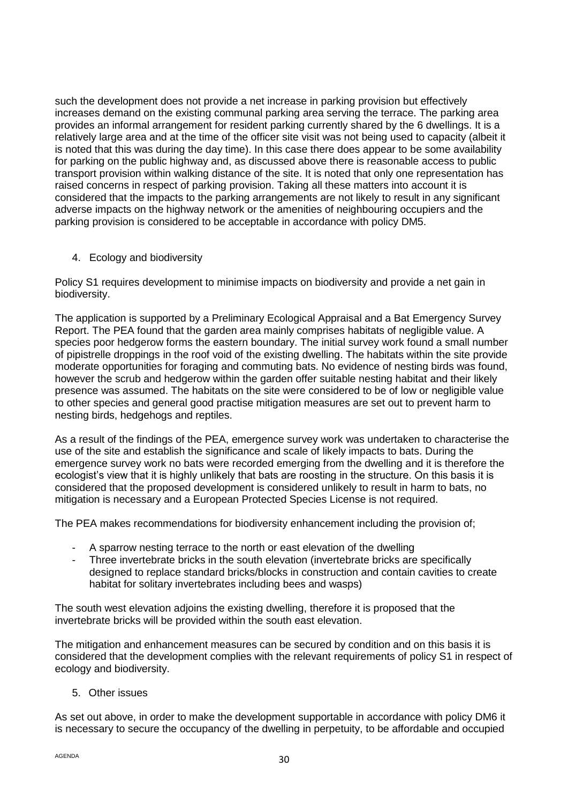such the development does not provide a net increase in parking provision but effectively increases demand on the existing communal parking area serving the terrace. The parking area provides an informal arrangement for resident parking currently shared by the 6 dwellings. It is a relatively large area and at the time of the officer site visit was not being used to capacity (albeit it is noted that this was during the day time). In this case there does appear to be some availability for parking on the public highway and, as discussed above there is reasonable access to public transport provision within walking distance of the site. It is noted that only one representation has raised concerns in respect of parking provision. Taking all these matters into account it is considered that the impacts to the parking arrangements are not likely to result in any significant adverse impacts on the highway network or the amenities of neighbouring occupiers and the parking provision is considered to be acceptable in accordance with policy DM5.

4. Ecology and biodiversity

Policy S1 requires development to minimise impacts on biodiversity and provide a net gain in biodiversity.

The application is supported by a Preliminary Ecological Appraisal and a Bat Emergency Survey Report. The PEA found that the garden area mainly comprises habitats of negligible value. A species poor hedgerow forms the eastern boundary. The initial survey work found a small number of pipistrelle droppings in the roof void of the existing dwelling. The habitats within the site provide moderate opportunities for foraging and commuting bats. No evidence of nesting birds was found, however the scrub and hedgerow within the garden offer suitable nesting habitat and their likely presence was assumed. The habitats on the site were considered to be of low or negligible value to other species and general good practise mitigation measures are set out to prevent harm to nesting birds, hedgehogs and reptiles.

As a result of the findings of the PEA, emergence survey work was undertaken to characterise the use of the site and establish the significance and scale of likely impacts to bats. During the emergence survey work no bats were recorded emerging from the dwelling and it is therefore the ecologist's view that it is highly unlikely that bats are roosting in the structure. On this basis it is considered that the proposed development is considered unlikely to result in harm to bats, no mitigation is necessary and a European Protected Species License is not required.

The PEA makes recommendations for biodiversity enhancement including the provision of;

- A sparrow nesting terrace to the north or east elevation of the dwelling
- Three invertebrate bricks in the south elevation (invertebrate bricks are specifically designed to replace standard bricks/blocks in construction and contain cavities to create habitat for solitary invertebrates including bees and wasps)

The south west elevation adjoins the existing dwelling, therefore it is proposed that the invertebrate bricks will be provided within the south east elevation.

The mitigation and enhancement measures can be secured by condition and on this basis it is considered that the development complies with the relevant requirements of policy S1 in respect of ecology and biodiversity.

5. Other issues

As set out above, in order to make the development supportable in accordance with policy DM6 it is necessary to secure the occupancy of the dwelling in perpetuity, to be affordable and occupied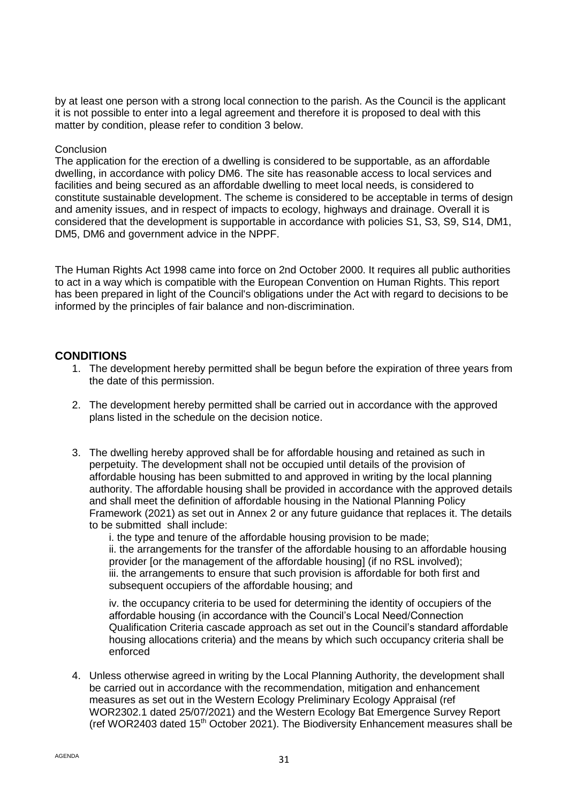by at least one person with a strong local connection to the parish. As the Council is the applicant it is not possible to enter into a legal agreement and therefore it is proposed to deal with this matter by condition, please refer to condition 3 below.

#### **Conclusion**

The application for the erection of a dwelling is considered to be supportable, as an affordable dwelling, in accordance with policy DM6. The site has reasonable access to local services and facilities and being secured as an affordable dwelling to meet local needs, is considered to constitute sustainable development. The scheme is considered to be acceptable in terms of design and amenity issues, and in respect of impacts to ecology, highways and drainage. Overall it is considered that the development is supportable in accordance with policies S1, S3, S9, S14, DM1, DM5, DM6 and government advice in the NPPF.

The Human Rights Act 1998 came into force on 2nd October 2000. It requires all public authorities to act in a way which is compatible with the European Convention on Human Rights. This report has been prepared in light of the Council's obligations under the Act with regard to decisions to be informed by the principles of fair balance and non-discrimination.

## **CONDITIONS**

- 1. The development hereby permitted shall be begun before the expiration of three years from the date of this permission.
- 2. The development hereby permitted shall be carried out in accordance with the approved plans listed in the schedule on the decision notice.
- 3. The dwelling hereby approved shall be for affordable housing and retained as such in perpetuity. The development shall not be occupied until details of the provision of affordable housing has been submitted to and approved in writing by the local planning authority. The affordable housing shall be provided in accordance with the approved details and shall meet the definition of affordable housing in the National Planning Policy Framework (2021) as set out in Annex 2 or any future guidance that replaces it. The details to be submitted shall include:

i. the type and tenure of the affordable housing provision to be made; ii. the arrangements for the transfer of the affordable housing to an affordable housing provider [or the management of the affordable housing] (if no RSL involved); iii. the arrangements to ensure that such provision is affordable for both first and subsequent occupiers of the affordable housing; and

iv. the occupancy criteria to be used for determining the identity of occupiers of the affordable housing (in accordance with the Council's Local Need/Connection Qualification Criteria cascade approach as set out in the Council's standard affordable housing allocations criteria) and the means by which such occupancy criteria shall be enforced

4. Unless otherwise agreed in writing by the Local Planning Authority, the development shall be carried out in accordance with the recommendation, mitigation and enhancement measures as set out in the Western Ecology Preliminary Ecology Appraisal (ref WOR2302.1 dated 25/07/2021) and the Western Ecology Bat Emergence Survey Report (ref WOR2403 dated 15<sup>th</sup> October 2021). The Biodiversity Enhancement measures shall be